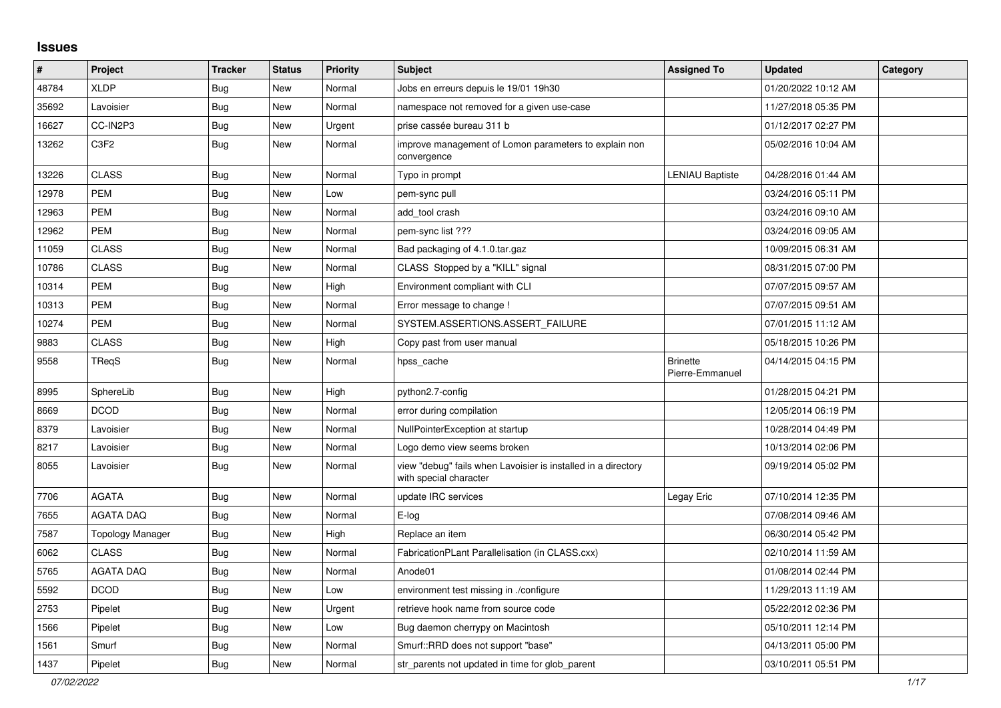## **Issues**

| ∦     | <b>Project</b>                | <b>Tracker</b> | <b>Status</b> | <b>Priority</b> | <b>Subject</b>                                                                          | <b>Assigned To</b>                 | <b>Updated</b>      | Category |
|-------|-------------------------------|----------------|---------------|-----------------|-----------------------------------------------------------------------------------------|------------------------------------|---------------------|----------|
| 48784 | <b>XLDP</b>                   | Bug            | <b>New</b>    | Normal          | Jobs en erreurs depuis le 19/01 19h30                                                   |                                    | 01/20/2022 10:12 AM |          |
| 35692 | Lavoisier                     | Bug            | New           | Normal          | namespace not removed for a given use-case                                              |                                    | 11/27/2018 05:35 PM |          |
| 16627 | CC-IN2P3                      | Bug            | New           | Urgent          | prise cassée bureau 311 b                                                               |                                    | 01/12/2017 02:27 PM |          |
| 13262 | C <sub>3</sub> F <sub>2</sub> | Bug            | New           | Normal          | improve management of Lomon parameters to explain non<br>convergence                    |                                    | 05/02/2016 10:04 AM |          |
| 13226 | <b>CLASS</b>                  | Bug            | <b>New</b>    | Normal          | Typo in prompt                                                                          | <b>LENIAU Baptiste</b>             | 04/28/2016 01:44 AM |          |
| 12978 | <b>PEM</b>                    | Bug            | <b>New</b>    | Low             | pem-sync pull                                                                           |                                    | 03/24/2016 05:11 PM |          |
| 12963 | <b>PEM</b>                    | <b>Bug</b>     | New           | Normal          | add_tool crash                                                                          |                                    | 03/24/2016 09:10 AM |          |
| 12962 | <b>PEM</b>                    | Bug            | New           | Normal          | pem-sync list ???                                                                       |                                    | 03/24/2016 09:05 AM |          |
| 11059 | <b>CLASS</b>                  | <b>Bug</b>     | New           | Normal          | Bad packaging of 4.1.0.tar.gaz                                                          |                                    | 10/09/2015 06:31 AM |          |
| 10786 | <b>CLASS</b>                  | <b>Bug</b>     | <b>New</b>    | Normal          | CLASS Stopped by a "KILL" signal                                                        |                                    | 08/31/2015 07:00 PM |          |
| 10314 | PEM                           | Bug            | New           | High            | Environment compliant with CLI                                                          |                                    | 07/07/2015 09:57 AM |          |
| 10313 | <b>PEM</b>                    | <b>Bug</b>     | New           | Normal          | Error message to change !                                                               |                                    | 07/07/2015 09:51 AM |          |
| 10274 | <b>PEM</b>                    | Bug            | New           | Normal          | SYSTEM.ASSERTIONS.ASSERT_FAILURE                                                        |                                    | 07/01/2015 11:12 AM |          |
| 9883  | <b>CLASS</b>                  | Bug            | New           | High            | Copy past from user manual                                                              |                                    | 05/18/2015 10:26 PM |          |
| 9558  | TReqS                         | <b>Bug</b>     | New           | Normal          | hpss_cache                                                                              | <b>Brinette</b><br>Pierre-Emmanuel | 04/14/2015 04:15 PM |          |
| 8995  | SphereLib                     | <b>Bug</b>     | New           | High            | python2.7-config                                                                        |                                    | 01/28/2015 04:21 PM |          |
| 8669  | <b>DCOD</b>                   | Bug            | New           | Normal          | error during compilation                                                                |                                    | 12/05/2014 06:19 PM |          |
| 8379  | Lavoisier                     | Bug            | New           | Normal          | NullPointerException at startup                                                         |                                    | 10/28/2014 04:49 PM |          |
| 8217  | Lavoisier                     | Bug            | New           | Normal          | Logo demo view seems broken                                                             |                                    | 10/13/2014 02:06 PM |          |
| 8055  | Lavoisier                     | <b>Bug</b>     | <b>New</b>    | Normal          | view "debug" fails when Lavoisier is installed in a directory<br>with special character |                                    | 09/19/2014 05:02 PM |          |
| 7706  | <b>AGATA</b>                  | Bug            | New           | Normal          | update IRC services                                                                     | Legay Eric                         | 07/10/2014 12:35 PM |          |
| 7655  | <b>AGATA DAQ</b>              | Bug            | <b>New</b>    | Normal          | E-log                                                                                   |                                    | 07/08/2014 09:46 AM |          |
| 7587  | <b>Topology Manager</b>       | Bug            | <b>New</b>    | High            | Replace an item                                                                         |                                    | 06/30/2014 05:42 PM |          |
| 6062  | <b>CLASS</b>                  | Bug            | New           | Normal          | FabricationPLant Parallelisation (in CLASS.cxx)                                         |                                    | 02/10/2014 11:59 AM |          |
| 5765  | <b>AGATA DAQ</b>              | Bug            | New           | Normal          | Anode01                                                                                 |                                    | 01/08/2014 02:44 PM |          |
| 5592  | <b>DCOD</b>                   | <b>Bug</b>     | New           | Low             | environment test missing in ./configure                                                 |                                    | 11/29/2013 11:19 AM |          |
| 2753  | Pipelet                       | Bug            | <b>New</b>    | Urgent          | retrieve hook name from source code                                                     |                                    | 05/22/2012 02:36 PM |          |
| 1566  | Pipelet                       | Bug            | New           | Low             | Bug daemon cherrypy on Macintosh                                                        |                                    | 05/10/2011 12:14 PM |          |
| 1561  | Smurf                         | <b>Bug</b>     | New           | Normal          | Smurf::RRD does not support "base"                                                      |                                    | 04/13/2011 05:00 PM |          |
| 1437  | Pipelet                       | Bug            | New           | Normal          | str_parents not updated in time for glob_parent                                         |                                    | 03/10/2011 05:51 PM |          |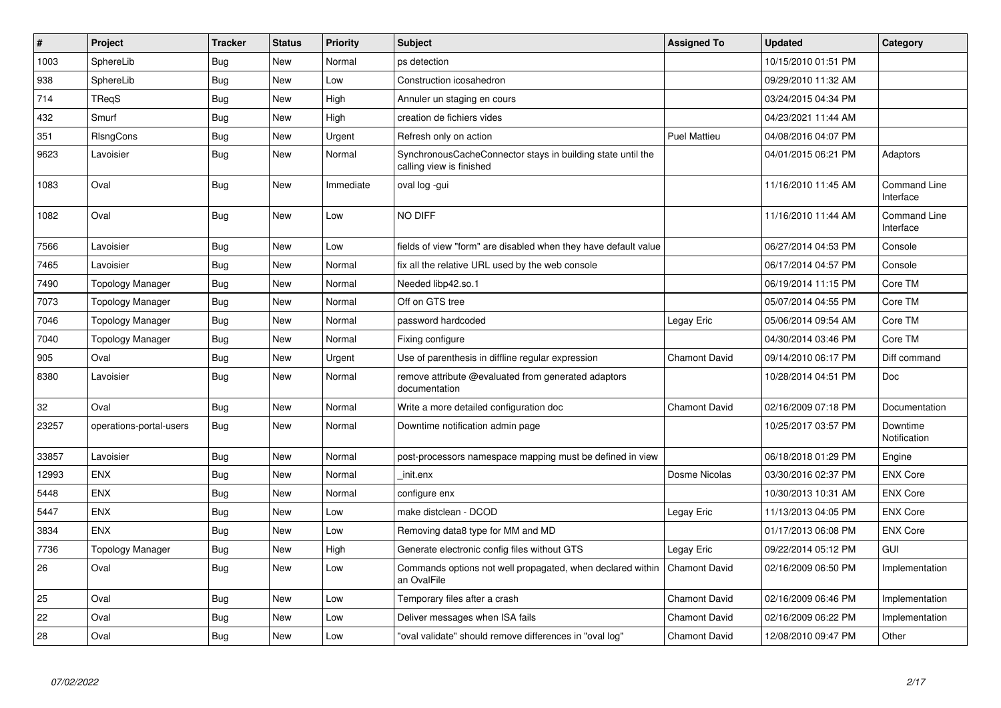| $\pmb{\#}$ | Project                 | <b>Tracker</b> | <b>Status</b> | <b>Priority</b> | <b>Subject</b>                                                                          | <b>Assigned To</b>   | <b>Updated</b>      | Category                         |
|------------|-------------------------|----------------|---------------|-----------------|-----------------------------------------------------------------------------------------|----------------------|---------------------|----------------------------------|
| 1003       | SphereLib               | <b>Bug</b>     | <b>New</b>    | Normal          | ps detection                                                                            |                      | 10/15/2010 01:51 PM |                                  |
| 938        | SphereLib               | Bug            | <b>New</b>    | Low             | Construction icosahedron                                                                |                      | 09/29/2010 11:32 AM |                                  |
| 714        | <b>TRegS</b>            | <b>Bug</b>     | <b>New</b>    | High            | Annuler un staging en cours                                                             |                      | 03/24/2015 04:34 PM |                                  |
| 432        | Smurf                   | <b>Bug</b>     | <b>New</b>    | High            | creation de fichiers vides                                                              |                      | 04/23/2021 11:44 AM |                                  |
| 351        | RIsngCons               | <b>Bug</b>     | <b>New</b>    | Urgent          | Refresh only on action                                                                  | <b>Puel Mattieu</b>  | 04/08/2016 04:07 PM |                                  |
| 9623       | Lavoisier               | Bug            | New           | Normal          | SynchronousCacheConnector stays in building state until the<br>calling view is finished |                      | 04/01/2015 06:21 PM | Adaptors                         |
| 1083       | Oval                    | Bug            | <b>New</b>    | Immediate       | oval log -gui                                                                           |                      | 11/16/2010 11:45 AM | <b>Command Line</b><br>Interface |
| 1082       | Oval                    | <b>Bug</b>     | <b>New</b>    | Low             | NO DIFF                                                                                 |                      | 11/16/2010 11:44 AM | <b>Command Line</b><br>Interface |
| 7566       | Lavoisier               | Bug            | <b>New</b>    | Low             | fields of view "form" are disabled when they have default value                         |                      | 06/27/2014 04:53 PM | Console                          |
| 7465       | Lavoisier               | <b>Bug</b>     | <b>New</b>    | Normal          | fix all the relative URL used by the web console                                        |                      | 06/17/2014 04:57 PM | Console                          |
| 7490       | <b>Topology Manager</b> | <b>Bug</b>     | <b>New</b>    | Normal          | Needed libp42.so.1                                                                      |                      | 06/19/2014 11:15 PM | Core TM                          |
| 7073       | <b>Topology Manager</b> | <b>Bug</b>     | <b>New</b>    | Normal          | Off on GTS tree                                                                         |                      | 05/07/2014 04:55 PM | Core TM                          |
| 7046       | <b>Topology Manager</b> | <b>Bug</b>     | <b>New</b>    | Normal          | password hardcoded                                                                      | Legay Eric           | 05/06/2014 09:54 AM | Core TM                          |
| 7040       | <b>Topology Manager</b> | <b>Bug</b>     | <b>New</b>    | Normal          | Fixing configure                                                                        |                      | 04/30/2014 03:46 PM | Core TM                          |
| 905        | Oval                    | Bug            | <b>New</b>    | Urgent          | Use of parenthesis in diffline regular expression                                       | <b>Chamont David</b> | 09/14/2010 06:17 PM | Diff command                     |
| 8380       | Lavoisier               | Bug            | New           | Normal          | remove attribute @evaluated from generated adaptors<br>documentation                    |                      | 10/28/2014 04:51 PM | Doc                              |
| 32         | Oval                    | <b>Bug</b>     | <b>New</b>    | Normal          | Write a more detailed configuration doc                                                 | <b>Chamont David</b> | 02/16/2009 07:18 PM | Documentation                    |
| 23257      | operations-portal-users | Bug            | <b>New</b>    | Normal          | Downtime notification admin page                                                        |                      | 10/25/2017 03:57 PM | Downtime<br>Notification         |
| 33857      | Lavoisier               | <b>Bug</b>     | <b>New</b>    | Normal          | post-processors namespace mapping must be defined in view                               |                      | 06/18/2018 01:29 PM | Engine                           |
| 12993      | <b>ENX</b>              | <b>Bug</b>     | <b>New</b>    | Normal          | _init.enx                                                                               | Dosme Nicolas        | 03/30/2016 02:37 PM | <b>ENX Core</b>                  |
| 5448       | <b>ENX</b>              | <b>Bug</b>     | <b>New</b>    | Normal          | configure enx                                                                           |                      | 10/30/2013 10:31 AM | <b>ENX Core</b>                  |
| 5447       | ENX                     | Bug            | New           | Low             | make distclean - DCOD                                                                   | Legay Eric           | 11/13/2013 04:05 PM | <b>ENX Core</b>                  |
| 3834       | <b>ENX</b>              | <b>Bug</b>     | <b>New</b>    | Low             | Removing data8 type for MM and MD                                                       |                      | 01/17/2013 06:08 PM | <b>ENX Core</b>                  |
| 7736       | Topology Manager        | Bug            | New           | High            | Generate electronic config files without GTS                                            | Legay Eric           | 09/22/2014 05:12 PM | <b>GUI</b>                       |
| 26         | Oval                    | <b>Bug</b>     | <b>New</b>    | Low             | Commands options not well propagated, when declared within<br>an OvalFile               | <b>Chamont David</b> | 02/16/2009 06:50 PM | Implementation                   |
| 25         | Oval                    | <b>Bug</b>     | <b>New</b>    | Low             | Temporary files after a crash                                                           | <b>Chamont David</b> | 02/16/2009 06:46 PM | Implementation                   |
| 22         | Oval                    | Bug            | <b>New</b>    | Low             | Deliver messages when ISA fails                                                         | <b>Chamont David</b> | 02/16/2009 06:22 PM | Implementation                   |
| 28         | Oval                    | <b>Bug</b>     | <b>New</b>    | Low             | "oval validate" should remove differences in "oval log"                                 | <b>Chamont David</b> | 12/08/2010 09:47 PM | Other                            |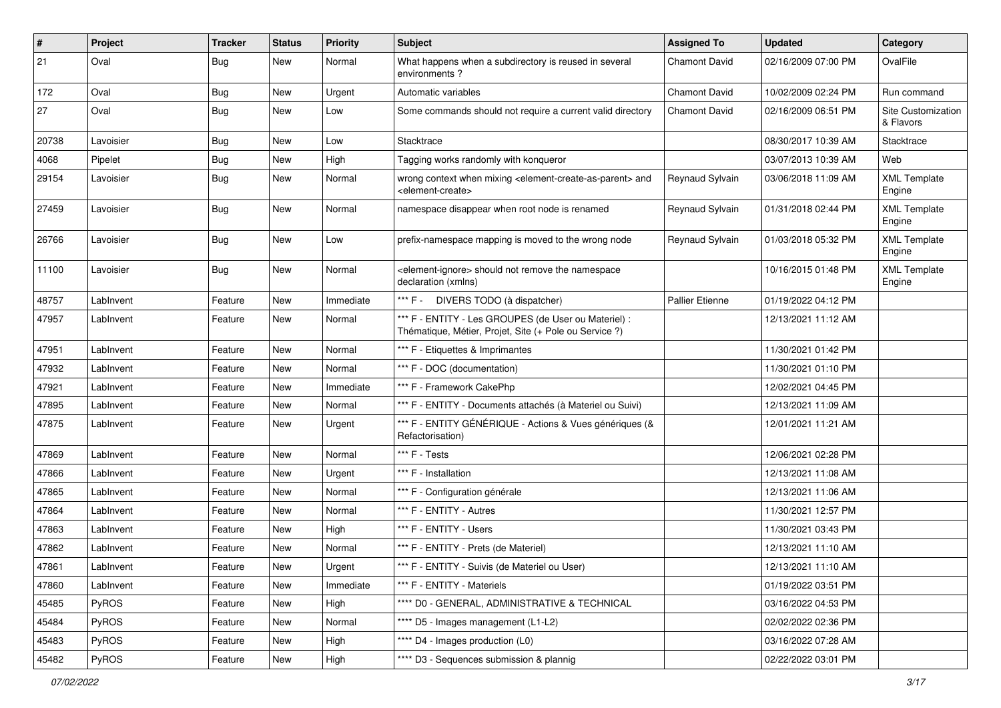| $\vert$ # | Project   | <b>Tracker</b> | <b>Status</b> | <b>Priority</b> | Subject                                                                                                                   | <b>Assigned To</b>     | <b>Updated</b>      | Category                        |
|-----------|-----------|----------------|---------------|-----------------|---------------------------------------------------------------------------------------------------------------------------|------------------------|---------------------|---------------------------------|
| 21        | Oval      | <b>Bug</b>     | New           | Normal          | What happens when a subdirectory is reused in several<br>environments?                                                    | <b>Chamont David</b>   | 02/16/2009 07:00 PM | OvalFile                        |
| 172       | Oval      | <b>Bug</b>     | New           | Urgent          | Automatic variables                                                                                                       | <b>Chamont David</b>   | 10/02/2009 02:24 PM | Run command                     |
| 27        | Oval      | <b>Bug</b>     | New           | Low             | Some commands should not require a current valid directory                                                                | <b>Chamont David</b>   | 02/16/2009 06:51 PM | Site Customization<br>& Flavors |
| 20738     | Lavoisier | <b>Bug</b>     | New           | Low             | Stacktrace                                                                                                                |                        | 08/30/2017 10:39 AM | Stacktrace                      |
| 4068      | Pipelet   | <b>Bug</b>     | <b>New</b>    | High            | Tagging works randomly with konqueror                                                                                     |                        | 03/07/2013 10:39 AM | Web                             |
| 29154     | Lavoisier | <b>Bug</b>     | New           | Normal          | wrong context when mixing <element-create-as-parent> and<br/><element-create></element-create></element-create-as-parent> | Reynaud Sylvain        | 03/06/2018 11:09 AM | <b>XML Template</b><br>Engine   |
| 27459     | Lavoisier | <b>Bug</b>     | New           | Normal          | namespace disappear when root node is renamed                                                                             | Reynaud Sylvain        | 01/31/2018 02:44 PM | <b>XML Template</b><br>Engine   |
| 26766     | Lavoisier | <b>Bug</b>     | New           | Low             | prefix-namespace mapping is moved to the wrong node                                                                       | Reynaud Sylvain        | 01/03/2018 05:32 PM | <b>XML Template</b><br>Engine   |
| 11100     | Lavoisier | <b>Bug</b>     | New           | Normal          | <element-ignore> should not remove the namespace<br/>declaration (xmlns)</element-ignore>                                 |                        | 10/16/2015 01:48 PM | <b>XML Template</b><br>Engine   |
| 48757     | LabInvent | Feature        | <b>New</b>    | Immediate       | *** F - DIVERS TODO (à dispatcher)                                                                                        | <b>Pallier Etienne</b> | 01/19/2022 04:12 PM |                                 |
| 47957     | LabInvent | Feature        | New           | Normal          | *** F - ENTITY - Les GROUPES (de User ou Materiel) :<br>Thématique, Métier, Projet, Site (+ Pole ou Service ?)            |                        | 12/13/2021 11:12 AM |                                 |
| 47951     | LabInvent | Feature        | New           | Normal          | *** F - Etiquettes & Imprimantes                                                                                          |                        | 11/30/2021 01:42 PM |                                 |
| 47932     | LabInvent | Feature        | New           | Normal          | *** F - DOC (documentation)                                                                                               |                        | 11/30/2021 01:10 PM |                                 |
| 47921     | LabInvent | Feature        | New           | Immediate       | *** F - Framework CakePhp                                                                                                 |                        | 12/02/2021 04:45 PM |                                 |
| 47895     | LabInvent | Feature        | New           | Normal          | *** F - ENTITY - Documents attachés (à Materiel ou Suivi)                                                                 |                        | 12/13/2021 11:09 AM |                                 |
| 47875     | LabInvent | Feature        | New           | Urgent          | *** F - ENTITY GÉNÉRIQUE - Actions & Vues génériques (&<br>Refactorisation)                                               |                        | 12/01/2021 11:21 AM |                                 |
| 47869     | LabInvent | Feature        | <b>New</b>    | Normal          | *** F - Tests                                                                                                             |                        | 12/06/2021 02:28 PM |                                 |
| 47866     | LabInvent | Feature        | New           | Urgent          | *** F - Installation                                                                                                      |                        | 12/13/2021 11:08 AM |                                 |
| 47865     | LabInvent | Feature        | New           | Normal          | *** F - Configuration générale                                                                                            |                        | 12/13/2021 11:06 AM |                                 |
| 47864     | LabInvent | Feature        | New           | Normal          | *** F - ENTITY - Autres                                                                                                   |                        | 11/30/2021 12:57 PM |                                 |
| 47863     | LabInvent | Feature        | New           | High            | *** F - ENTITY - Users                                                                                                    |                        | 11/30/2021 03:43 PM |                                 |
| 47862     | LabInvent | Feature        | New           | Normal          | *** F - ENTITY - Prets (de Materiel)                                                                                      |                        | 12/13/2021 11:10 AM |                                 |
| 47861     | LabInvent | Feature        | New           | Urgent          | *** F - ENTITY - Suivis (de Materiel ou User)                                                                             |                        | 12/13/2021 11:10 AM |                                 |
| 47860     | LabInvent | Feature        | New           | Immediate       | *** F - ENTITY - Materiels                                                                                                |                        | 01/19/2022 03:51 PM |                                 |
| 45485     | PyROS     | Feature        | New           | High            | **** D0 - GENERAL, ADMINISTRATIVE & TECHNICAL                                                                             |                        | 03/16/2022 04:53 PM |                                 |
| 45484     | PyROS     | Feature        | New           | Normal          | **** D5 - Images management (L1-L2)                                                                                       |                        | 02/02/2022 02:36 PM |                                 |
| 45483     | PyROS     | Feature        | New           | High            | **** D4 - Images production (L0)                                                                                          |                        | 03/16/2022 07:28 AM |                                 |
| 45482     | PyROS     | Feature        | New           | High            | **** D3 - Sequences submission & plannig                                                                                  |                        | 02/22/2022 03:01 PM |                                 |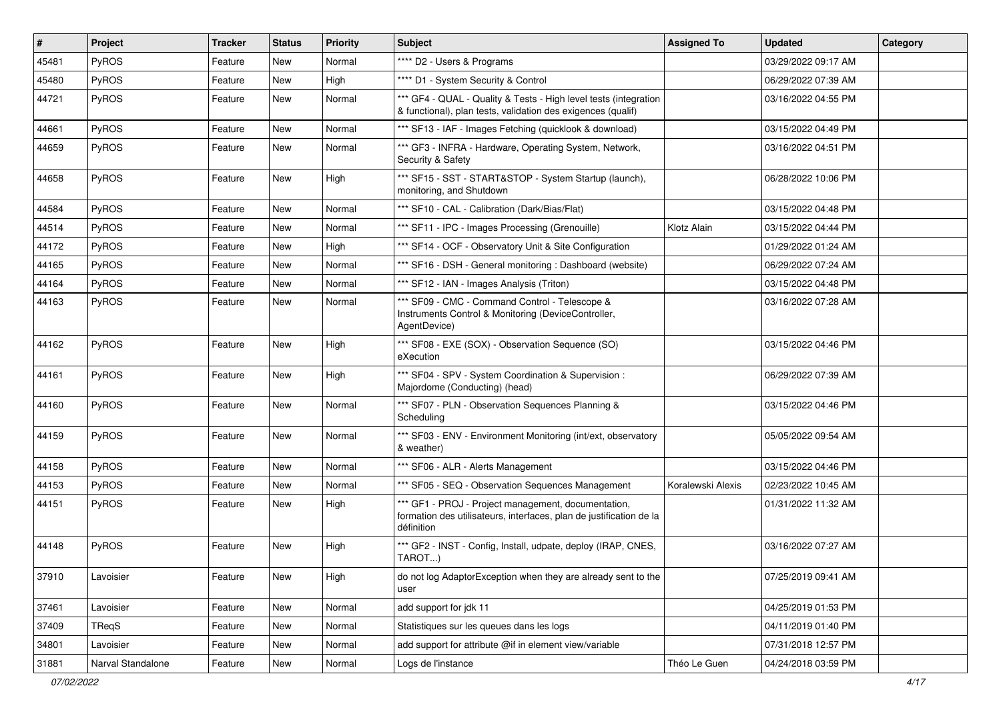| $\sharp$ | <b>Project</b>    | <b>Tracker</b> | <b>Status</b> | <b>Priority</b> | <b>Subject</b>                                                                                                                           | <b>Assigned To</b> | <b>Updated</b>      | Category |
|----------|-------------------|----------------|---------------|-----------------|------------------------------------------------------------------------------------------------------------------------------------------|--------------------|---------------------|----------|
| 45481    | PyROS             | Feature        | New           | Normal          | **** D2 - Users & Programs                                                                                                               |                    | 03/29/2022 09:17 AM |          |
| 45480    | PyROS             | Feature        | New           | High            | **** D1 - System Security & Control                                                                                                      |                    | 06/29/2022 07:39 AM |          |
| 44721    | PyROS             | Feature        | New           | Normal          | *** GF4 - QUAL - Quality & Tests - High level tests (integration<br>& functional), plan tests, validation des exigences (qualif)         |                    | 03/16/2022 04:55 PM |          |
| 44661    | PyROS             | Feature        | New           | Normal          | *** SF13 - IAF - Images Fetching (quicklook & download)                                                                                  |                    | 03/15/2022 04:49 PM |          |
| 44659    | PyROS             | Feature        | New           | Normal          | *** GF3 - INFRA - Hardware, Operating System, Network,<br>Security & Safety                                                              |                    | 03/16/2022 04:51 PM |          |
| 44658    | PyROS             | Feature        | New           | High            | *** SF15 - SST - START&STOP - System Startup (launch),<br>monitoring, and Shutdown                                                       |                    | 06/28/2022 10:06 PM |          |
| 44584    | PyROS             | Feature        | New           | Normal          | *** SF10 - CAL - Calibration (Dark/Bias/Flat)                                                                                            |                    | 03/15/2022 04:48 PM |          |
| 44514    | PyROS             | Feature        | New           | Normal          | *** SF11 - IPC - Images Processing (Grenouille)                                                                                          | Klotz Alain        | 03/15/2022 04:44 PM |          |
| 44172    | PyROS             | Feature        | New           | High            | *** SF14 - OCF - Observatory Unit & Site Configuration                                                                                   |                    | 01/29/2022 01:24 AM |          |
| 44165    | PyROS             | Feature        | New           | Normal          | *** SF16 - DSH - General monitoring : Dashboard (website)                                                                                |                    | 06/29/2022 07:24 AM |          |
| 44164    | PyROS             | Feature        | New           | Normal          | *** SF12 - IAN - Images Analysis (Triton)                                                                                                |                    | 03/15/2022 04:48 PM |          |
| 44163    | PyROS             | Feature        | New           | Normal          | *** SF09 - CMC - Command Control - Telescope &<br>Instruments Control & Monitoring (DeviceController,<br>AgentDevice)                    |                    | 03/16/2022 07:28 AM |          |
| 44162    | PyROS             | Feature        | New           | High            | *** SF08 - EXE (SOX) - Observation Sequence (SO)<br>eXecution                                                                            |                    | 03/15/2022 04:46 PM |          |
| 44161    | PyROS             | Feature        | New           | High            | *** SF04 - SPV - System Coordination & Supervision :<br>Majordome (Conducting) (head)                                                    |                    | 06/29/2022 07:39 AM |          |
| 44160    | PyROS             | Feature        | New           | Normal          | *** SF07 - PLN - Observation Sequences Planning &<br>Scheduling                                                                          |                    | 03/15/2022 04:46 PM |          |
| 44159    | PyROS             | Feature        | New           | Normal          | *** SF03 - ENV - Environment Monitoring (int/ext, observatory<br>& weather)                                                              |                    | 05/05/2022 09:54 AM |          |
| 44158    | PyROS             | Feature        | New           | Normal          | *** SF06 - ALR - Alerts Management                                                                                                       |                    | 03/15/2022 04:46 PM |          |
| 44153    | PyROS             | Feature        | New           | Normal          | *** SF05 - SEQ - Observation Sequences Management                                                                                        | Koralewski Alexis  | 02/23/2022 10:45 AM |          |
| 44151    | PyROS             | Feature        | New           | High            | *** GF1 - PROJ - Project management, documentation,<br>formation des utilisateurs, interfaces, plan de justification de la<br>définition |                    | 01/31/2022 11:32 AM |          |
| 44148    | PyROS             | Feature        | New           | High            | *** GF2 - INST - Config, Install, udpate, deploy (IRAP, CNES,<br>TAROT)                                                                  |                    | 03/16/2022 07:27 AM |          |
| 37910    | Lavoisier         | Feature        | New           | High            | do not log AdaptorException when they are already sent to the<br>user                                                                    |                    | 07/25/2019 09:41 AM |          |
| 37461    | Lavoisier         | Feature        | New           | Normal          | add support for jdk 11                                                                                                                   |                    | 04/25/2019 01:53 PM |          |
| 37409    | TReqS             | Feature        | New           | Normal          | Statistiques sur les queues dans les logs                                                                                                |                    | 04/11/2019 01:40 PM |          |
| 34801    | Lavoisier         | Feature        | New           | Normal          | add support for attribute @if in element view/variable                                                                                   |                    | 07/31/2018 12:57 PM |          |
| 31881    | Narval Standalone | Feature        | New           | Normal          | Logs de l'instance                                                                                                                       | Théo Le Guen       | 04/24/2018 03:59 PM |          |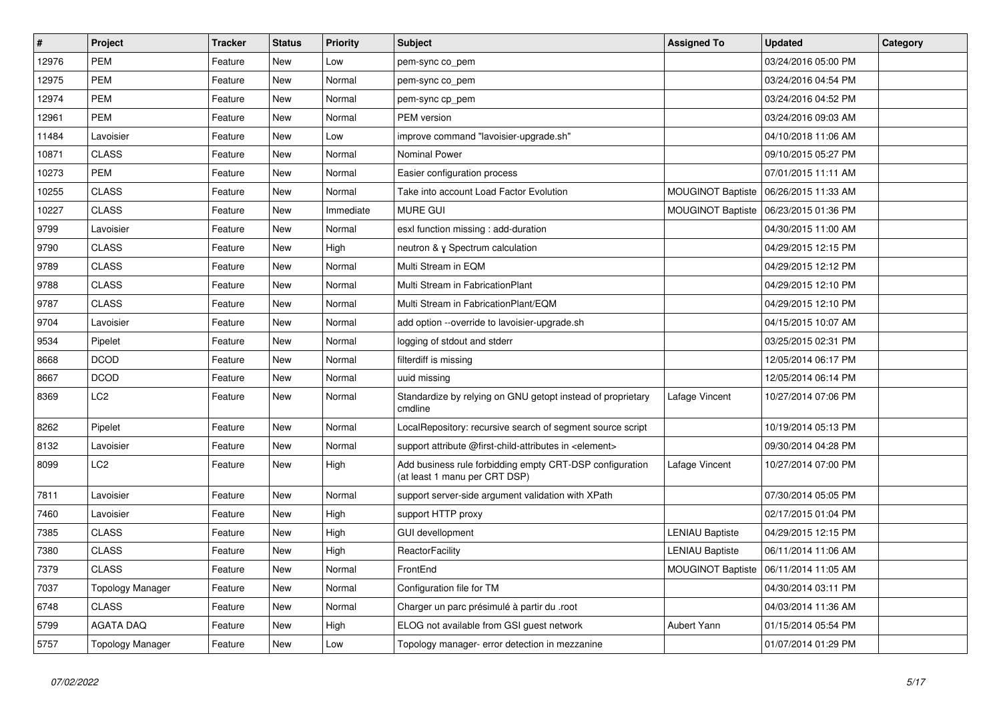| $\vert$ # | Project                 | <b>Tracker</b> | <b>Status</b> | <b>Priority</b> | <b>Subject</b>                                                                            | <b>Assigned To</b>       | <b>Updated</b>      | Category |
|-----------|-------------------------|----------------|---------------|-----------------|-------------------------------------------------------------------------------------------|--------------------------|---------------------|----------|
| 12976     | <b>PEM</b>              | Feature        | <b>New</b>    | Low             | pem-sync co_pem                                                                           |                          | 03/24/2016 05:00 PM |          |
| 12975     | <b>PEM</b>              | Feature        | <b>New</b>    | Normal          | pem-sync co_pem                                                                           |                          | 03/24/2016 04:54 PM |          |
| 12974     | <b>PEM</b>              | Feature        | New           | Normal          | pem-sync cp_pem                                                                           |                          | 03/24/2016 04:52 PM |          |
| 12961     | <b>PEM</b>              | Feature        | <b>New</b>    | Normal          | PEM version                                                                               |                          | 03/24/2016 09:03 AM |          |
| 11484     | Lavoisier               | Feature        | New           | Low             | improve command "lavoisier-upgrade.sh"                                                    |                          | 04/10/2018 11:06 AM |          |
| 10871     | <b>CLASS</b>            | Feature        | <b>New</b>    | Normal          | <b>Nominal Power</b>                                                                      |                          | 09/10/2015 05:27 PM |          |
| 10273     | <b>PEM</b>              | Feature        | New           | Normal          | Easier configuration process                                                              |                          | 07/01/2015 11:11 AM |          |
| 10255     | <b>CLASS</b>            | Feature        | New           | Normal          | Take into account Load Factor Evolution                                                   | <b>MOUGINOT Baptiste</b> | 06/26/2015 11:33 AM |          |
| 10227     | <b>CLASS</b>            | Feature        | New           | Immediate       | <b>MURE GUI</b>                                                                           | <b>MOUGINOT Baptiste</b> | 06/23/2015 01:36 PM |          |
| 9799      | Lavoisier               | Feature        | <b>New</b>    | Normal          | esxl function missing : add-duration                                                      |                          | 04/30/2015 11:00 AM |          |
| 9790      | <b>CLASS</b>            | Feature        | New           | High            | neutron & y Spectrum calculation                                                          |                          | 04/29/2015 12:15 PM |          |
| 9789      | <b>CLASS</b>            | Feature        | New           | Normal          | Multi Stream in EQM                                                                       |                          | 04/29/2015 12:12 PM |          |
| 9788      | <b>CLASS</b>            | Feature        | <b>New</b>    | Normal          | Multi Stream in FabricationPlant                                                          |                          | 04/29/2015 12:10 PM |          |
| 9787      | <b>CLASS</b>            | Feature        | <b>New</b>    | Normal          | Multi Stream in FabricationPlant/EQM                                                      |                          | 04/29/2015 12:10 PM |          |
| 9704      | Lavoisier               | Feature        | <b>New</b>    | Normal          | add option --override to lavoisier-upgrade.sh                                             |                          | 04/15/2015 10:07 AM |          |
| 9534      | Pipelet                 | Feature        | <b>New</b>    | Normal          | logging of stdout and stderr                                                              |                          | 03/25/2015 02:31 PM |          |
| 8668      | <b>DCOD</b>             | Feature        | <b>New</b>    | Normal          | filterdiff is missing                                                                     |                          | 12/05/2014 06:17 PM |          |
| 8667      | <b>DCOD</b>             | Feature        | <b>New</b>    | Normal          | uuid missing                                                                              |                          | 12/05/2014 06:14 PM |          |
| 8369      | LC <sub>2</sub>         | Feature        | <b>New</b>    | Normal          | Standardize by relying on GNU getopt instead of proprietary<br>cmdline                    | Lafage Vincent           | 10/27/2014 07:06 PM |          |
| 8262      | Pipelet                 | Feature        | <b>New</b>    | Normal          | LocalRepository: recursive search of segment source script                                |                          | 10/19/2014 05:13 PM |          |
| 8132      | Lavoisier               | Feature        | <b>New</b>    | Normal          | support attribute @first-child-attributes in <element></element>                          |                          | 09/30/2014 04:28 PM |          |
| 8099      | LC <sub>2</sub>         | Feature        | New           | High            | Add business rule forbidding empty CRT-DSP configuration<br>(at least 1 manu per CRT DSP) | Lafage Vincent           | 10/27/2014 07:00 PM |          |
| 7811      | Lavoisier               | Feature        | <b>New</b>    | Normal          | support server-side argument validation with XPath                                        |                          | 07/30/2014 05:05 PM |          |
| 7460      | Lavoisier               | Feature        | New           | High            | support HTTP proxy                                                                        |                          | 02/17/2015 01:04 PM |          |
| 7385      | <b>CLASS</b>            | Feature        | <b>New</b>    | High            | <b>GUI devellopment</b>                                                                   | LENIAU Baptiste          | 04/29/2015 12:15 PM |          |
| 7380      | <b>CLASS</b>            | Feature        | <b>New</b>    | High            | ReactorFacility                                                                           | <b>LENIAU Baptiste</b>   | 06/11/2014 11:06 AM |          |
| 7379      | <b>CLASS</b>            | Feature        | New           | Normal          | FrontEnd                                                                                  | <b>MOUGINOT Baptiste</b> | 06/11/2014 11:05 AM |          |
| 7037      | <b>Topology Manager</b> | Feature        | <b>New</b>    | Normal          | Configuration file for TM                                                                 |                          | 04/30/2014 03:11 PM |          |
| 6748      | <b>CLASS</b>            | Feature        | New           | Normal          | Charger un parc présimulé à partir du .root                                               |                          | 04/03/2014 11:36 AM |          |
| 5799      | <b>AGATA DAQ</b>        | Feature        | <b>New</b>    | High            | ELOG not available from GSI guest network                                                 | <b>Aubert Yann</b>       | 01/15/2014 05:54 PM |          |
| 5757      | <b>Topology Manager</b> | Feature        | <b>New</b>    | Low             | Topology manager- error detection in mezzanine                                            |                          | 01/07/2014 01:29 PM |          |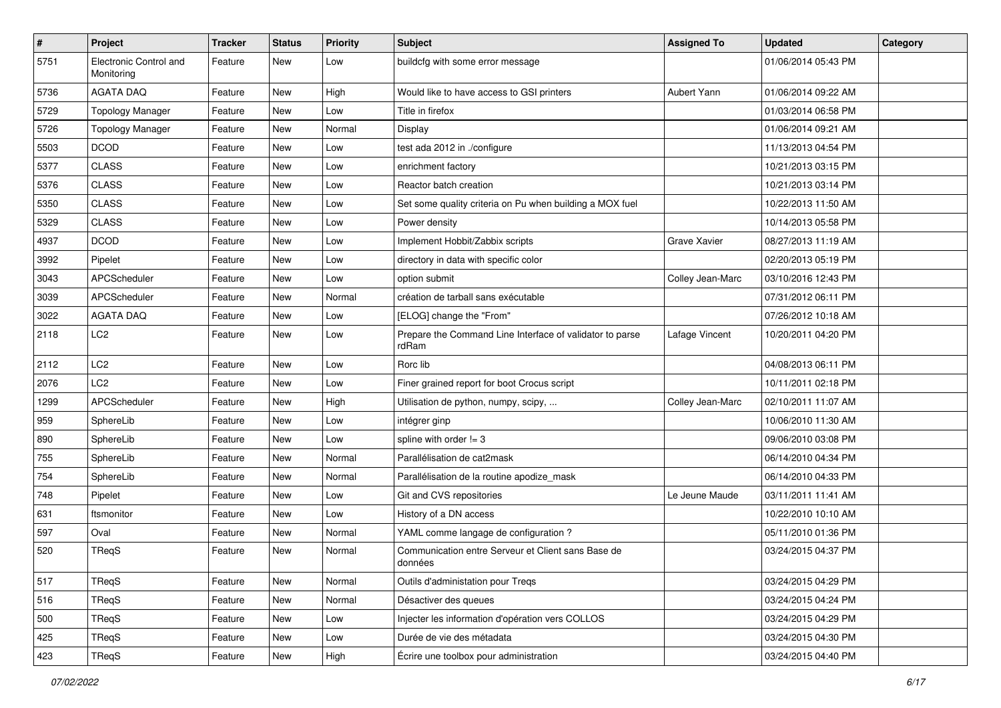| $\sharp$ | <b>Project</b>                       | <b>Tracker</b> | <b>Status</b> | <b>Priority</b> | <b>Subject</b>                                                    | <b>Assigned To</b>  | <b>Updated</b>      | Category |
|----------|--------------------------------------|----------------|---------------|-----------------|-------------------------------------------------------------------|---------------------|---------------------|----------|
| 5751     | Electronic Control and<br>Monitoring | Feature        | New           | Low             | buildcfg with some error message                                  |                     | 01/06/2014 05:43 PM |          |
| 5736     | <b>AGATA DAQ</b>                     | Feature        | New           | High            | Would like to have access to GSI printers                         | Aubert Yann         | 01/06/2014 09:22 AM |          |
| 5729     | <b>Topology Manager</b>              | Feature        | New           | Low             | Title in firefox                                                  |                     | 01/03/2014 06:58 PM |          |
| 5726     | <b>Topology Manager</b>              | Feature        | New           | Normal          | Display                                                           |                     | 01/06/2014 09:21 AM |          |
| 5503     | <b>DCOD</b>                          | Feature        | New           | Low             | test ada 2012 in ./configure                                      |                     | 11/13/2013 04:54 PM |          |
| 5377     | <b>CLASS</b>                         | Feature        | New           | Low             | enrichment factory                                                |                     | 10/21/2013 03:15 PM |          |
| 5376     | <b>CLASS</b>                         | Feature        | New           | Low             | Reactor batch creation                                            |                     | 10/21/2013 03:14 PM |          |
| 5350     | <b>CLASS</b>                         | Feature        | New           | Low             | Set some quality criteria on Pu when building a MOX fuel          |                     | 10/22/2013 11:50 AM |          |
| 5329     | <b>CLASS</b>                         | Feature        | New           | Low             | Power density                                                     |                     | 10/14/2013 05:58 PM |          |
| 4937     | <b>DCOD</b>                          | Feature        | New           | Low             | Implement Hobbit/Zabbix scripts                                   | <b>Grave Xavier</b> | 08/27/2013 11:19 AM |          |
| 3992     | Pipelet                              | Feature        | New           | Low             | directory in data with specific color                             |                     | 02/20/2013 05:19 PM |          |
| 3043     | APCScheduler                         | Feature        | New           | Low             | option submit                                                     | Colley Jean-Marc    | 03/10/2016 12:43 PM |          |
| 3039     | APCScheduler                         | Feature        | New           | Normal          | création de tarball sans exécutable                               |                     | 07/31/2012 06:11 PM |          |
| 3022     | <b>AGATA DAQ</b>                     | Feature        | New           | Low             | [ELOG] change the "From"                                          |                     | 07/26/2012 10:18 AM |          |
| 2118     | LC <sub>2</sub>                      | Feature        | New           | Low             | Prepare the Command Line Interface of validator to parse<br>rdRam | Lafage Vincent      | 10/20/2011 04:20 PM |          |
| 2112     | LC <sub>2</sub>                      | Feature        | New           | Low             | Rorc lib                                                          |                     | 04/08/2013 06:11 PM |          |
| 2076     | LC <sub>2</sub>                      | Feature        | New           | Low             | Finer grained report for boot Crocus script                       |                     | 10/11/2011 02:18 PM |          |
| 1299     | APCScheduler                         | Feature        | New           | High            | Utilisation de python, numpy, scipy,                              | Colley Jean-Marc    | 02/10/2011 11:07 AM |          |
| 959      | SphereLib                            | Feature        | New           | Low             | intégrer ginp                                                     |                     | 10/06/2010 11:30 AM |          |
| 890      | SphereLib                            | Feature        | New           | Low             | spline with order $!= 3$                                          |                     | 09/06/2010 03:08 PM |          |
| 755      | SphereLib                            | Feature        | New           | Normal          | Parallélisation de cat2mask                                       |                     | 06/14/2010 04:34 PM |          |
| 754      | SphereLib                            | Feature        | New           | Normal          | Parallélisation de la routine apodize mask                        |                     | 06/14/2010 04:33 PM |          |
| 748      | Pipelet                              | Feature        | New           | Low             | Git and CVS repositories                                          | Le Jeune Maude      | 03/11/2011 11:41 AM |          |
| 631      | ftsmonitor                           | Feature        | New           | Low             | History of a DN access                                            |                     | 10/22/2010 10:10 AM |          |
| 597      | Oval                                 | Feature        | New           | Normal          | YAML comme langage de configuration ?                             |                     | 05/11/2010 01:36 PM |          |
| 520      | TReqS                                | Feature        | New           | Normal          | Communication entre Serveur et Client sans Base de<br>données     |                     | 03/24/2015 04:37 PM |          |
| 517      | TReqS                                | Feature        | New           | Normal          | Outils d'administation pour Treqs                                 |                     | 03/24/2015 04:29 PM |          |
| 516      | TReqS                                | Feature        | New           | Normal          | Désactiver des queues                                             |                     | 03/24/2015 04:24 PM |          |
| 500      | TReqS                                | Feature        | New           | Low             | Injecter les information d'opération vers COLLOS                  |                     | 03/24/2015 04:29 PM |          |
| 425      | TReqS                                | Feature        | New           | Low             | Durée de vie des métadata                                         |                     | 03/24/2015 04:30 PM |          |
| 423      | TReqS                                | Feature        | New           | High            | Écrire une toolbox pour administration                            |                     | 03/24/2015 04:40 PM |          |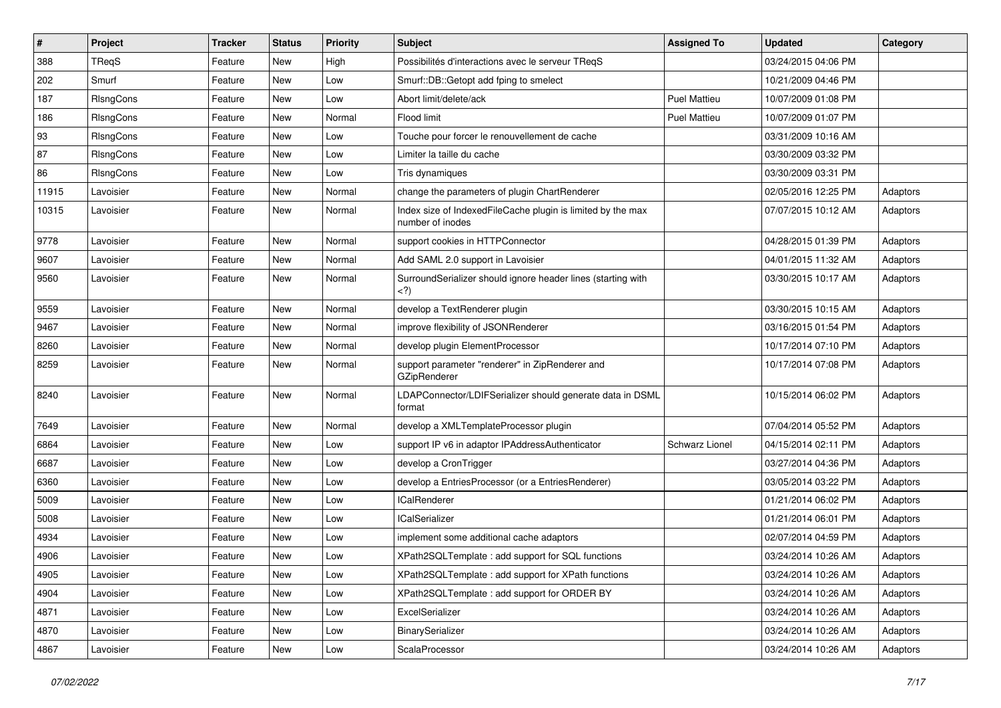| $\pmb{\#}$ | Project   | <b>Tracker</b> | <b>Status</b> | <b>Priority</b> | Subject                                                                         | <b>Assigned To</b>  | <b>Updated</b>      | Category |
|------------|-----------|----------------|---------------|-----------------|---------------------------------------------------------------------------------|---------------------|---------------------|----------|
| 388        | TReqS     | Feature        | New           | High            | Possibilités d'interactions avec le serveur TReqS                               |                     | 03/24/2015 04:06 PM |          |
| 202        | Smurf     | Feature        | <b>New</b>    | Low             | Smurf::DB::Getopt add fping to smelect                                          |                     | 10/21/2009 04:46 PM |          |
| 187        | RIsngCons | Feature        | New           | Low             | Abort limit/delete/ack                                                          | <b>Puel Mattieu</b> | 10/07/2009 01:08 PM |          |
| 186        | RIsngCons | Feature        | New           | Normal          | Flood limit                                                                     | <b>Puel Mattieu</b> | 10/07/2009 01:07 PM |          |
| 93         | RIsngCons | Feature        | New           | Low             | Touche pour forcer le renouvellement de cache                                   |                     | 03/31/2009 10:16 AM |          |
| 87         | RIsngCons | Feature        | New           | Low             | Limiter la taille du cache                                                      |                     | 03/30/2009 03:32 PM |          |
| 86         | RIsngCons | Feature        | New           | Low             | Tris dynamiques                                                                 |                     | 03/30/2009 03:31 PM |          |
| 11915      | Lavoisier | Feature        | New           | Normal          | change the parameters of plugin ChartRenderer                                   |                     | 02/05/2016 12:25 PM | Adaptors |
| 10315      | Lavoisier | Feature        | New           | Normal          | Index size of IndexedFileCache plugin is limited by the max<br>number of inodes |                     | 07/07/2015 10:12 AM | Adaptors |
| 9778       | Lavoisier | Feature        | New           | Normal          | support cookies in HTTPConnector                                                |                     | 04/28/2015 01:39 PM | Adaptors |
| 9607       | Lavoisier | Feature        | New           | Normal          | Add SAML 2.0 support in Lavoisier                                               |                     | 04/01/2015 11:32 AM | Adaptors |
| 9560       | Lavoisier | Feature        | New           | Normal          | SurroundSerializer should ignore header lines (starting with<br>$<$ ?)          |                     | 03/30/2015 10:17 AM | Adaptors |
| 9559       | Lavoisier | Feature        | New           | Normal          | develop a TextRenderer plugin                                                   |                     | 03/30/2015 10:15 AM | Adaptors |
| 9467       | Lavoisier | Feature        | New           | Normal          | improve flexibility of JSONRenderer                                             |                     | 03/16/2015 01:54 PM | Adaptors |
| 8260       | Lavoisier | Feature        | New           | Normal          | develop plugin ElementProcessor                                                 |                     | 10/17/2014 07:10 PM | Adaptors |
| 8259       | Lavoisier | Feature        | New           | Normal          | support parameter "renderer" in ZipRenderer and<br>GZipRenderer                 |                     | 10/17/2014 07:08 PM | Adaptors |
| 8240       | Lavoisier | Feature        | New           | Normal          | LDAPConnector/LDIFSerializer should generate data in DSML<br>format             |                     | 10/15/2014 06:02 PM | Adaptors |
| 7649       | Lavoisier | Feature        | New           | Normal          | develop a XMLTemplateProcessor plugin                                           |                     | 07/04/2014 05:52 PM | Adaptors |
| 6864       | Lavoisier | Feature        | New           | Low             | support IP v6 in adaptor IPAddressAuthenticator                                 | Schwarz Lionel      | 04/15/2014 02:11 PM | Adaptors |
| 6687       | Lavoisier | Feature        | New           | Low             | develop a CronTrigger                                                           |                     | 03/27/2014 04:36 PM | Adaptors |
| 6360       | Lavoisier | Feature        | New           | Low             | develop a EntriesProcessor (or a EntriesRenderer)                               |                     | 03/05/2014 03:22 PM | Adaptors |
| 5009       | Lavoisier | Feature        | New           | Low             | <b>ICalRenderer</b>                                                             |                     | 01/21/2014 06:02 PM | Adaptors |
| 5008       | Lavoisier | Feature        | New           | Low             | ICalSerializer                                                                  |                     | 01/21/2014 06:01 PM | Adaptors |
| 4934       | Lavoisier | Feature        | New           | Low             | implement some additional cache adaptors                                        |                     | 02/07/2014 04:59 PM | Adaptors |
| 4906       | Lavoisier | Feature        | <b>New</b>    | Low             | XPath2SQLTemplate: add support for SQL functions                                |                     | 03/24/2014 10:26 AM | Adaptors |
| 4905       | Lavoisier | Feature        | New           | Low             | XPath2SQLTemplate: add support for XPath functions                              |                     | 03/24/2014 10:26 AM | Adaptors |
| 4904       | Lavoisier | Feature        | New           | Low             | XPath2SQLTemplate : add support for ORDER BY                                    |                     | 03/24/2014 10:26 AM | Adaptors |
| 4871       | Lavoisier | Feature        | New           | Low             | ExcelSerializer                                                                 |                     | 03/24/2014 10:26 AM | Adaptors |
| 4870       | Lavoisier | Feature        | New           | Low             | BinarySerializer                                                                |                     | 03/24/2014 10:26 AM | Adaptors |
| 4867       | Lavoisier | Feature        | New           | Low             | ScalaProcessor                                                                  |                     | 03/24/2014 10:26 AM | Adaptors |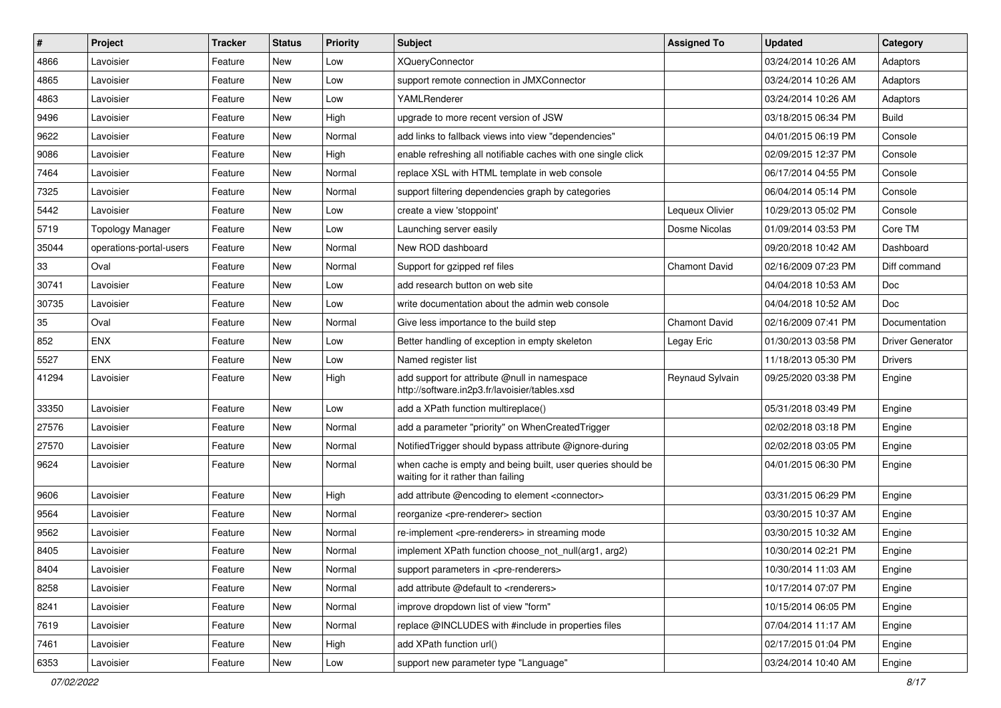| $\sharp$ | Project                 | <b>Tracker</b> | <b>Status</b> | <b>Priority</b> | <b>Subject</b>                                                                                    | <b>Assigned To</b>   | <b>Updated</b>      | Category         |
|----------|-------------------------|----------------|---------------|-----------------|---------------------------------------------------------------------------------------------------|----------------------|---------------------|------------------|
| 4866     | Lavoisier               | Feature        | New           | Low             | <b>XQueryConnector</b>                                                                            |                      | 03/24/2014 10:26 AM | Adaptors         |
| 4865     | Lavoisier               | Feature        | New           | Low             | support remote connection in JMXConnector                                                         |                      | 03/24/2014 10:26 AM | Adaptors         |
| 4863     | Lavoisier               | Feature        | New           | Low             | YAMLRenderer                                                                                      |                      | 03/24/2014 10:26 AM | Adaptors         |
| 9496     | Lavoisier               | Feature        | New           | High            | upgrade to more recent version of JSW                                                             |                      | 03/18/2015 06:34 PM | <b>Build</b>     |
| 9622     | Lavoisier               | Feature        | New           | Normal          | add links to fallback views into view "dependencies"                                              |                      | 04/01/2015 06:19 PM | Console          |
| 9086     | Lavoisier               | Feature        | New           | High            | enable refreshing all notifiable caches with one single click                                     |                      | 02/09/2015 12:37 PM | Console          |
| 7464     | Lavoisier               | Feature        | New           | Normal          | replace XSL with HTML template in web console                                                     |                      | 06/17/2014 04:55 PM | Console          |
| 7325     | Lavoisier               | Feature        | New           | Normal          | support filtering dependencies graph by categories                                                |                      | 06/04/2014 05:14 PM | Console          |
| 5442     | Lavoisier               | Feature        | New           | Low             | create a view 'stoppoint'                                                                         | Lequeux Olivier      | 10/29/2013 05:02 PM | Console          |
| 5719     | <b>Topology Manager</b> | Feature        | New           | Low             | Launching server easily                                                                           | Dosme Nicolas        | 01/09/2014 03:53 PM | Core TM          |
| 35044    | operations-portal-users | Feature        | New           | Normal          | New ROD dashboard                                                                                 |                      | 09/20/2018 10:42 AM | Dashboard        |
| 33       | Oval                    | Feature        | New           | Normal          | Support for gzipped ref files                                                                     | <b>Chamont David</b> | 02/16/2009 07:23 PM | Diff command     |
| 30741    | Lavoisier               | Feature        | <b>New</b>    | Low             | add research button on web site                                                                   |                      | 04/04/2018 10:53 AM | Doc              |
| 30735    | Lavoisier               | Feature        | New           | Low             | write documentation about the admin web console                                                   |                      | 04/04/2018 10:52 AM | Doc              |
| 35       | Oval                    | Feature        | New           | Normal          | Give less importance to the build step                                                            | <b>Chamont David</b> | 02/16/2009 07:41 PM | Documentation    |
| 852      | <b>ENX</b>              | Feature        | New           | Low             | Better handling of exception in empty skeleton                                                    | Legay Eric           | 01/30/2013 03:58 PM | Driver Generator |
| 5527     | <b>ENX</b>              | Feature        | New           | Low             | Named register list                                                                               |                      | 11/18/2013 05:30 PM | Drivers          |
| 41294    | Lavoisier               | Feature        | New           | High            | add support for attribute @null in namespace<br>http://software.in2p3.fr/lavoisier/tables.xsd     | Reynaud Sylvain      | 09/25/2020 03:38 PM | Engine           |
| 33350    | Lavoisier               | Feature        | New           | Low             | add a XPath function multireplace()                                                               |                      | 05/31/2018 03:49 PM | Engine           |
| 27576    | Lavoisier               | Feature        | <b>New</b>    | Normal          | add a parameter "priority" on WhenCreatedTrigger                                                  |                      | 02/02/2018 03:18 PM | Engine           |
| 27570    | Lavoisier               | Feature        | New           | Normal          | NotifiedTrigger should bypass attribute @ignore-during                                            |                      | 02/02/2018 03:05 PM | Engine           |
| 9624     | Lavoisier               | Feature        | New           | Normal          | when cache is empty and being built, user queries should be<br>waiting for it rather than failing |                      | 04/01/2015 06:30 PM | Engine           |
| 9606     | Lavoisier               | Feature        | <b>New</b>    | High            | add attribute @encoding to element <connector></connector>                                        |                      | 03/31/2015 06:29 PM | Engine           |
| 9564     | Lavoisier               | Feature        | New           | Normal          | reorganize <pre-renderer> section</pre-renderer>                                                  |                      | 03/30/2015 10:37 AM | Engine           |
| 9562     | Lavoisier               | Feature        | New           | Normal          | re-implement <pre-renderers> in streaming mode</pre-renderers>                                    |                      | 03/30/2015 10:32 AM | Engine           |
| 8405     | Lavoisier               | Feature        | New           | Normal          | implement XPath function choose_not_null(arg1, arg2)                                              |                      | 10/30/2014 02:21 PM | Engine           |
| 8404     | Lavoisier               | Feature        | New           | Normal          | support parameters in <pre-renderers></pre-renderers>                                             |                      | 10/30/2014 11:03 AM | Engine           |
| 8258     | Lavoisier               | Feature        | New           | Normal          | add attribute @default to <renderers></renderers>                                                 |                      | 10/17/2014 07:07 PM | Engine           |
| 8241     | Lavoisier               | Feature        | <b>New</b>    | Normal          | improve dropdown list of view "form"                                                              |                      | 10/15/2014 06:05 PM | Engine           |
| 7619     | Lavoisier               | Feature        | New           | Normal          | replace @INCLUDES with #include in properties files                                               |                      | 07/04/2014 11:17 AM | Engine           |
| 7461     | Lavoisier               | Feature        | New           | High            | add XPath function url()                                                                          |                      | 02/17/2015 01:04 PM | Engine           |
| 6353     | Lavoisier               | Feature        | New           | Low             | support new parameter type "Language"                                                             |                      | 03/24/2014 10:40 AM | Engine           |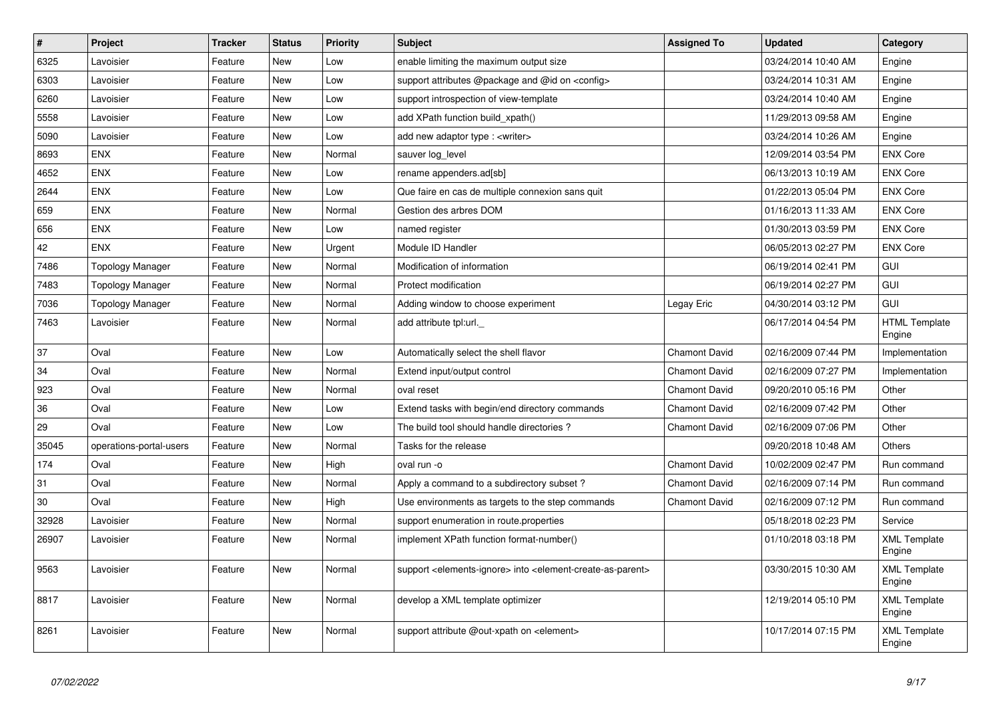| $\pmb{\#}$ | <b>Project</b>          | <b>Tracker</b> | <b>Status</b> | Priority | <b>Subject</b>                                                                                         | <b>Assigned To</b>   | <b>Updated</b>      | Category                       |
|------------|-------------------------|----------------|---------------|----------|--------------------------------------------------------------------------------------------------------|----------------------|---------------------|--------------------------------|
| 6325       | Lavoisier               | Feature        | New           | Low      | enable limiting the maximum output size                                                                |                      | 03/24/2014 10:40 AM | Engine                         |
| 6303       | Lavoisier               | Feature        | <b>New</b>    | Low      | support attributes @package and @id on <config></config>                                               |                      | 03/24/2014 10:31 AM | Engine                         |
| 6260       | Lavoisier               | Feature        | New           | Low      | support introspection of view-template                                                                 |                      | 03/24/2014 10:40 AM | Engine                         |
| 5558       | Lavoisier               | Feature        | New           | Low      | add XPath function build_xpath()                                                                       |                      | 11/29/2013 09:58 AM | Engine                         |
| 5090       | Lavoisier               | Feature        | <b>New</b>    | Low      | add new adaptor type: <writer></writer>                                                                |                      | 03/24/2014 10:26 AM | Engine                         |
| 8693       | <b>ENX</b>              | Feature        | <b>New</b>    | Normal   | sauver log level                                                                                       |                      | 12/09/2014 03:54 PM | <b>ENX Core</b>                |
| 4652       | <b>ENX</b>              | Feature        | <b>New</b>    | Low      | rename appenders.ad[sb]                                                                                |                      | 06/13/2013 10:19 AM | <b>ENX Core</b>                |
| 2644       | <b>ENX</b>              | Feature        | New           | Low      | Que faire en cas de multiple connexion sans quit                                                       |                      | 01/22/2013 05:04 PM | <b>ENX Core</b>                |
| 659        | <b>ENX</b>              | Feature        | <b>New</b>    | Normal   | Gestion des arbres DOM                                                                                 |                      | 01/16/2013 11:33 AM | <b>ENX Core</b>                |
| 656        | <b>ENX</b>              | Feature        | <b>New</b>    | Low      | named register                                                                                         |                      | 01/30/2013 03:59 PM | <b>ENX Core</b>                |
| 42         | <b>ENX</b>              | Feature        | <b>New</b>    | Urgent   | Module ID Handler                                                                                      |                      | 06/05/2013 02:27 PM | <b>ENX Core</b>                |
| 7486       | <b>Topology Manager</b> | Feature        | <b>New</b>    | Normal   | Modification of information                                                                            |                      | 06/19/2014 02:41 PM | GUI                            |
| 7483       | <b>Topology Manager</b> | Feature        | <b>New</b>    | Normal   | Protect modification                                                                                   |                      | 06/19/2014 02:27 PM | <b>GUI</b>                     |
| 7036       | <b>Topology Manager</b> | Feature        | New           | Normal   | Adding window to choose experiment                                                                     | Legay Eric           | 04/30/2014 03:12 PM | <b>GUI</b>                     |
| 7463       | Lavoisier               | Feature        | <b>New</b>    | Normal   | add attribute tpl:url._                                                                                |                      | 06/17/2014 04:54 PM | <b>HTML Template</b><br>Engine |
| 37         | Oval                    | Feature        | New           | Low      | Automatically select the shell flavor                                                                  | <b>Chamont David</b> | 02/16/2009 07:44 PM | Implementation                 |
| 34         | Oval                    | Feature        | New           | Normal   | Extend input/output control                                                                            | <b>Chamont David</b> | 02/16/2009 07:27 PM | Implementation                 |
| 923        | Oval                    | Feature        | New           | Normal   | oval reset                                                                                             | <b>Chamont David</b> | 09/20/2010 05:16 PM | Other                          |
| 36         | Oval                    | Feature        | <b>New</b>    | Low      | Extend tasks with begin/end directory commands                                                         | <b>Chamont David</b> | 02/16/2009 07:42 PM | Other                          |
| 29         | Oval                    | Feature        | New           | Low      | The build tool should handle directories?                                                              | <b>Chamont David</b> | 02/16/2009 07:06 PM | Other                          |
| 35045      | operations-portal-users | Feature        | New           | Normal   | Tasks for the release                                                                                  |                      | 09/20/2018 10:48 AM | Others                         |
| 174        | Oval                    | Feature        | <b>New</b>    | High     | oval run -o                                                                                            | <b>Chamont David</b> | 10/02/2009 02:47 PM | Run command                    |
| 31         | Oval                    | Feature        | New           | Normal   | Apply a command to a subdirectory subset?                                                              | <b>Chamont David</b> | 02/16/2009 07:14 PM | Run command                    |
| 30         | Oval                    | Feature        | New           | High     | Use environments as targets to the step commands                                                       | <b>Chamont David</b> | 02/16/2009 07:12 PM | Run command                    |
| 32928      | Lavoisier               | Feature        | New           | Normal   | support enumeration in route properties                                                                |                      | 05/18/2018 02:23 PM | Service                        |
| 26907      | Lavoisier               | Feature        | New           | Normal   | implement XPath function format-number()                                                               |                      | 01/10/2018 03:18 PM | <b>XML Template</b><br>Engine  |
| 9563       | Lavoisier               | Feature        | New           | Normal   | support <elements-ignore> into <element-create-as-parent></element-create-as-parent></elements-ignore> |                      | 03/30/2015 10:30 AM | <b>XML Template</b><br>Engine  |
| 8817       | Lavoisier               | Feature        | New           | Normal   | develop a XML template optimizer                                                                       |                      | 12/19/2014 05:10 PM | <b>XML Template</b><br>Engine  |
| 8261       | Lavoisier               | Feature        | <b>New</b>    | Normal   | support attribute @out-xpath on <element></element>                                                    |                      | 10/17/2014 07:15 PM | <b>XML Template</b><br>Engine  |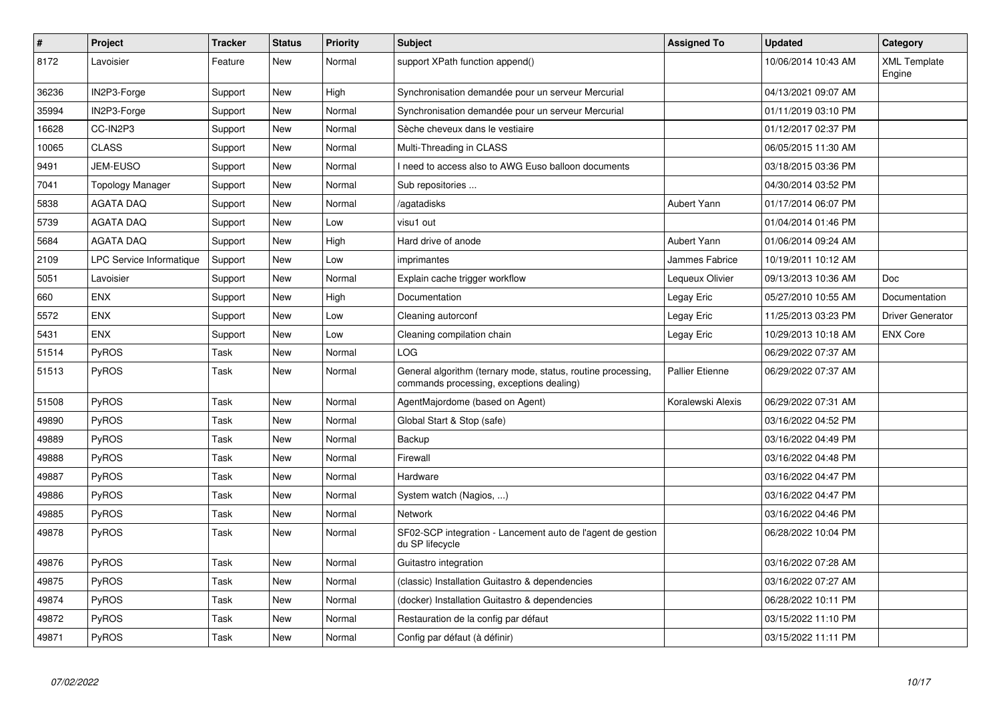| $\sharp$ | <b>Project</b>           | <b>Tracker</b> | <b>Status</b> | <b>Priority</b> | <b>Subject</b>                                                                                           | <b>Assigned To</b>     | Updated             | Category                      |
|----------|--------------------------|----------------|---------------|-----------------|----------------------------------------------------------------------------------------------------------|------------------------|---------------------|-------------------------------|
| 8172     | Lavoisier                | Feature        | New           | Normal          | support XPath function append()                                                                          |                        | 10/06/2014 10:43 AM | <b>XML Template</b><br>Engine |
| 36236    | IN2P3-Forge              | Support        | New           | High            | Synchronisation demandée pour un serveur Mercurial                                                       |                        | 04/13/2021 09:07 AM |                               |
| 35994    | IN2P3-Forge              | Support        | New           | Normal          | Synchronisation demandée pour un serveur Mercurial                                                       |                        | 01/11/2019 03:10 PM |                               |
| 16628    | CC-IN2P3                 | Support        | <b>New</b>    | Normal          | Sèche cheveux dans le vestiaire                                                                          |                        | 01/12/2017 02:37 PM |                               |
| 10065    | <b>CLASS</b>             | Support        | <b>New</b>    | Normal          | Multi-Threading in CLASS                                                                                 |                        | 06/05/2015 11:30 AM |                               |
| 9491     | <b>JEM-EUSO</b>          | Support        | New           | Normal          | I need to access also to AWG Euso balloon documents                                                      |                        | 03/18/2015 03:36 PM |                               |
| 7041     | <b>Topology Manager</b>  | Support        | New           | Normal          | Sub repositories                                                                                         |                        | 04/30/2014 03:52 PM |                               |
| 5838     | <b>AGATA DAQ</b>         | Support        | <b>New</b>    | Normal          | /agatadisks                                                                                              | <b>Aubert Yann</b>     | 01/17/2014 06:07 PM |                               |
| 5739     | <b>AGATA DAQ</b>         | Support        | <b>New</b>    | Low             | visu1 out                                                                                                |                        | 01/04/2014 01:46 PM |                               |
| 5684     | <b>AGATA DAQ</b>         | Support        | New           | High            | Hard drive of anode                                                                                      | <b>Aubert Yann</b>     | 01/06/2014 09:24 AM |                               |
| 2109     | LPC Service Informatique | Support        | <b>New</b>    | Low             | imprimantes                                                                                              | Jammes Fabrice         | 10/19/2011 10:12 AM |                               |
| 5051     | Lavoisier                | Support        | <b>New</b>    | Normal          | Explain cache trigger workflow                                                                           | Lequeux Olivier        | 09/13/2013 10:36 AM | <b>Doc</b>                    |
| 660      | <b>ENX</b>               | Support        | <b>New</b>    | High            | Documentation                                                                                            | Legay Eric             | 05/27/2010 10:55 AM | Documentation                 |
| 5572     | <b>ENX</b>               | Support        | New           | Low             | Cleaning autorconf                                                                                       | Legay Eric             | 11/25/2013 03:23 PM | Driver Generator              |
| 5431     | <b>ENX</b>               | Support        | New           | Low             | Cleaning compilation chain                                                                               | Legay Eric             | 10/29/2013 10:18 AM | <b>ENX Core</b>               |
| 51514    | PyROS                    | Task           | <b>New</b>    | Normal          | <b>LOG</b>                                                                                               |                        | 06/29/2022 07:37 AM |                               |
| 51513    | PyROS                    | Task           | New           | Normal          | General algorithm (ternary mode, status, routine processing,<br>commands processing, exceptions dealing) | <b>Pallier Etienne</b> | 06/29/2022 07:37 AM |                               |
| 51508    | PyROS                    | Task           | <b>New</b>    | Normal          | AgentMajordome (based on Agent)                                                                          | Koralewski Alexis      | 06/29/2022 07:31 AM |                               |
| 49890    | PyROS                    | Task           | <b>New</b>    | Normal          | Global Start & Stop (safe)                                                                               |                        | 03/16/2022 04:52 PM |                               |
| 49889    | <b>PyROS</b>             | Task           | <b>New</b>    | Normal          | Backup                                                                                                   |                        | 03/16/2022 04:49 PM |                               |
| 49888    | PyROS                    | Task           | <b>New</b>    | Normal          | Firewall                                                                                                 |                        | 03/16/2022 04:48 PM |                               |
| 49887    | PyROS                    | Task           | <b>New</b>    | Normal          | Hardware                                                                                                 |                        | 03/16/2022 04:47 PM |                               |
| 49886    | PyROS                    | Task           | New           | Normal          | System watch (Nagios, )                                                                                  |                        | 03/16/2022 04:47 PM |                               |
| 49885    | PyROS                    | Task           | <b>New</b>    | Normal          | <b>Network</b>                                                                                           |                        | 03/16/2022 04:46 PM |                               |
| 49878    | PyROS                    | Task           | New           | Normal          | SF02-SCP integration - Lancement auto de l'agent de gestion<br>du SP lifecycle                           |                        | 06/28/2022 10:04 PM |                               |
| 49876    | <b>PyROS</b>             | Task           | New           | Normal          | Guitastro integration                                                                                    |                        | 03/16/2022 07:28 AM |                               |
| 49875    | PyROS                    | Task           | <b>New</b>    | Normal          | (classic) Installation Guitastro & dependencies                                                          |                        | 03/16/2022 07:27 AM |                               |
| 49874    | <b>PyROS</b>             | Task           | New           | Normal          | (docker) Installation Guitastro & dependencies                                                           |                        | 06/28/2022 10:11 PM |                               |
| 49872    | <b>PyROS</b>             | Task           | New           | Normal          | Restauration de la config par défaut                                                                     |                        | 03/15/2022 11:10 PM |                               |
| 49871    | <b>PyROS</b>             | Task           | New           | Normal          | Config par défaut (à définir)                                                                            |                        | 03/15/2022 11:11 PM |                               |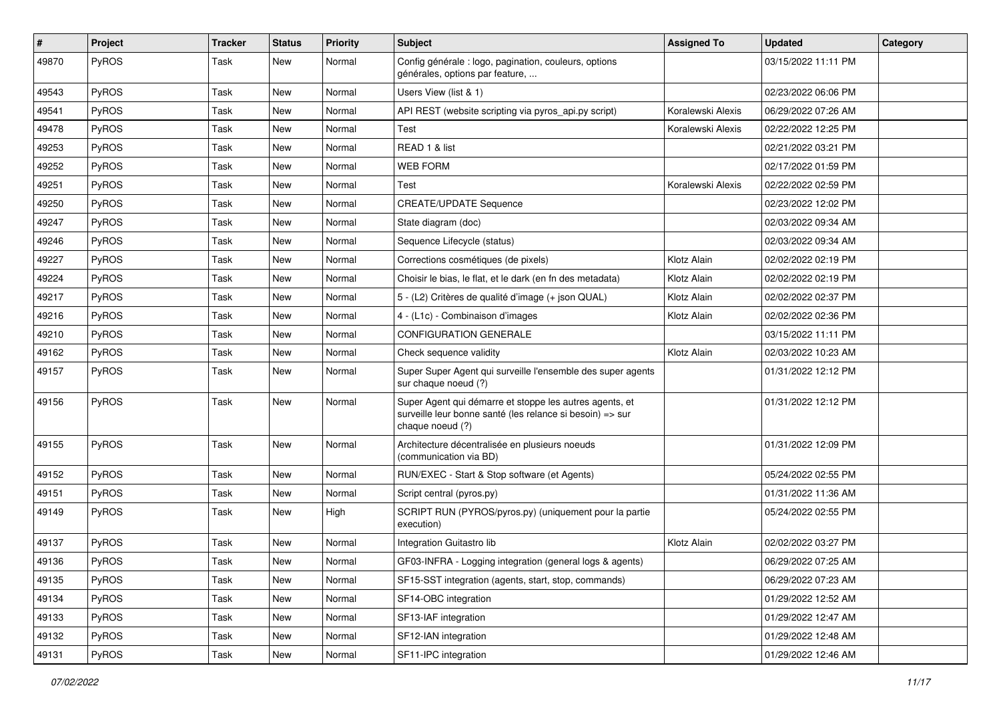| $\vert$ # | Project      | <b>Tracker</b> | <b>Status</b> | <b>Priority</b> | <b>Subject</b>                                                                                                                           | <b>Assigned To</b> | <b>Updated</b>      | Category |
|-----------|--------------|----------------|---------------|-----------------|------------------------------------------------------------------------------------------------------------------------------------------|--------------------|---------------------|----------|
| 49870     | PyROS        | Task           | New           | Normal          | Config générale : logo, pagination, couleurs, options<br>générales, options par feature,                                                 |                    | 03/15/2022 11:11 PM |          |
| 49543     | PyROS        | Task           | New           | Normal          | Users View (list & 1)                                                                                                                    |                    | 02/23/2022 06:06 PM |          |
| 49541     | PyROS        | Task           | New           | Normal          | API REST (website scripting via pyros_api.py script)                                                                                     | Koralewski Alexis  | 06/29/2022 07:26 AM |          |
| 49478     | PyROS        | Task           | New           | Normal          | Test                                                                                                                                     | Koralewski Alexis  | 02/22/2022 12:25 PM |          |
| 49253     | <b>PyROS</b> | Task           | New           | Normal          | READ 1 & list                                                                                                                            |                    | 02/21/2022 03:21 PM |          |
| 49252     | PyROS        | Task           | New           | Normal          | <b>WEB FORM</b>                                                                                                                          |                    | 02/17/2022 01:59 PM |          |
| 49251     | PyROS        | Task           | New           | Normal          | Test                                                                                                                                     | Koralewski Alexis  | 02/22/2022 02:59 PM |          |
| 49250     | PyROS        | Task           | New           | Normal          | <b>CREATE/UPDATE Sequence</b>                                                                                                            |                    | 02/23/2022 12:02 PM |          |
| 49247     | PyROS        | Task           | New           | Normal          | State diagram (doc)                                                                                                                      |                    | 02/03/2022 09:34 AM |          |
| 49246     | PyROS        | Task           | New           | Normal          | Sequence Lifecycle (status)                                                                                                              |                    | 02/03/2022 09:34 AM |          |
| 49227     | PyROS        | Task           | New           | Normal          | Corrections cosmétiques (de pixels)                                                                                                      | Klotz Alain        | 02/02/2022 02:19 PM |          |
| 49224     | PyROS        | Task           | New           | Normal          | Choisir le bias, le flat, et le dark (en fn des metadata)                                                                                | Klotz Alain        | 02/02/2022 02:19 PM |          |
| 49217     | PyROS        | Task           | New           | Normal          | 5 - (L2) Critères de qualité d'image (+ json QUAL)                                                                                       | Klotz Alain        | 02/02/2022 02:37 PM |          |
| 49216     | PyROS        | Task           | New           | Normal          | 4 - (L1c) - Combinaison d'images                                                                                                         | Klotz Alain        | 02/02/2022 02:36 PM |          |
| 49210     | PyROS        | Task           | New           | Normal          | CONFIGURATION GENERALE                                                                                                                   |                    | 03/15/2022 11:11 PM |          |
| 49162     | PyROS        | Task           | New           | Normal          | Check sequence validity                                                                                                                  | Klotz Alain        | 02/03/2022 10:23 AM |          |
| 49157     | PyROS        | Task           | New           | Normal          | Super Super Agent qui surveille l'ensemble des super agents<br>sur chaque noeud (?)                                                      |                    | 01/31/2022 12:12 PM |          |
| 49156     | PyROS        | Task           | New           | Normal          | Super Agent qui démarre et stoppe les autres agents, et<br>surveille leur bonne santé (les relance si besoin) => sur<br>chaque noeud (?) |                    | 01/31/2022 12:12 PM |          |
| 49155     | PyROS        | Task           | New           | Normal          | Architecture décentralisée en plusieurs noeuds<br>(communication via BD)                                                                 |                    | 01/31/2022 12:09 PM |          |
| 49152     | PyROS        | Task           | New           | Normal          | RUN/EXEC - Start & Stop software (et Agents)                                                                                             |                    | 05/24/2022 02:55 PM |          |
| 49151     | PyROS        | Task           | New           | Normal          | Script central (pyros.py)                                                                                                                |                    | 01/31/2022 11:36 AM |          |
| 49149     | PyROS        | Task           | New           | High            | SCRIPT RUN (PYROS/pyros.py) (uniquement pour la partie<br>execution)                                                                     |                    | 05/24/2022 02:55 PM |          |
| 49137     | PyROS        | Task           | New           | Normal          | Integration Guitastro lib                                                                                                                | Klotz Alain        | 02/02/2022 03:27 PM |          |
| 49136     | PyROS        | Task           | New           | Normal          | GF03-INFRA - Logging integration (general logs & agents)                                                                                 |                    | 06/29/2022 07:25 AM |          |
| 49135     | PyROS        | Task           | New           | Normal          | SF15-SST integration (agents, start, stop, commands)                                                                                     |                    | 06/29/2022 07:23 AM |          |
| 49134     | PyROS        | Task           | New           | Normal          | SF14-OBC integration                                                                                                                     |                    | 01/29/2022 12:52 AM |          |
| 49133     | PyROS        | Task           | New           | Normal          | SF13-IAF integration                                                                                                                     |                    | 01/29/2022 12:47 AM |          |
| 49132     | PyROS        | Task           | New           | Normal          | SF12-IAN integration                                                                                                                     |                    | 01/29/2022 12:48 AM |          |
| 49131     | PyROS        | Task           | New           | Normal          | SF11-IPC integration                                                                                                                     |                    | 01/29/2022 12:46 AM |          |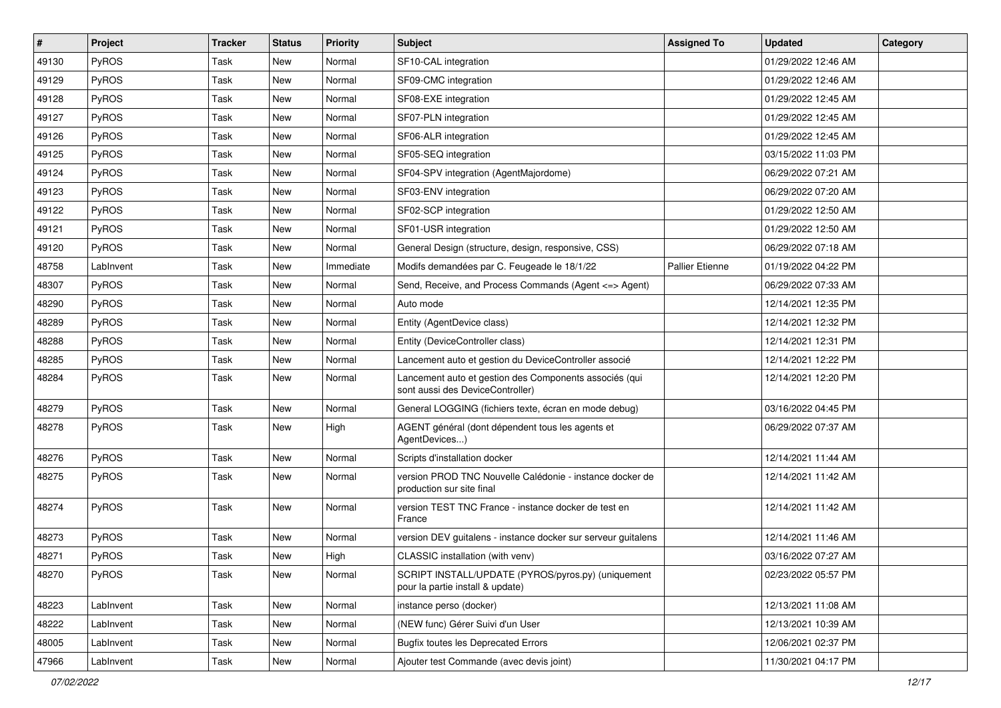| $\vert$ # | Project      | <b>Tracker</b> | <b>Status</b> | <b>Priority</b> | <b>Subject</b>                                                                             | <b>Assigned To</b>     | <b>Updated</b>      | Category |
|-----------|--------------|----------------|---------------|-----------------|--------------------------------------------------------------------------------------------|------------------------|---------------------|----------|
| 49130     | <b>PyROS</b> | Task           | New           | Normal          | SF10-CAL integration                                                                       |                        | 01/29/2022 12:46 AM |          |
| 49129     | PyROS        | Task           | New           | Normal          | SF09-CMC integration                                                                       |                        | 01/29/2022 12:46 AM |          |
| 49128     | PyROS        | Task           | New           | Normal          | SF08-EXE integration                                                                       |                        | 01/29/2022 12:45 AM |          |
| 49127     | PyROS        | Task           | New           | Normal          | SF07-PLN integration                                                                       |                        | 01/29/2022 12:45 AM |          |
| 49126     | PyROS        | Task           | New           | Normal          | SF06-ALR integration                                                                       |                        | 01/29/2022 12:45 AM |          |
| 49125     | <b>PyROS</b> | Task           | New           | Normal          | SF05-SEQ integration                                                                       |                        | 03/15/2022 11:03 PM |          |
| 49124     | PyROS        | Task           | New           | Normal          | SF04-SPV integration (AgentMajordome)                                                      |                        | 06/29/2022 07:21 AM |          |
| 49123     | PyROS        | Task           | New           | Normal          | SF03-ENV integration                                                                       |                        | 06/29/2022 07:20 AM |          |
| 49122     | PyROS        | Task           | New           | Normal          | SF02-SCP integration                                                                       |                        | 01/29/2022 12:50 AM |          |
| 49121     | PyROS        | Task           | New           | Normal          | SF01-USR integration                                                                       |                        | 01/29/2022 12:50 AM |          |
| 49120     | PyROS        | Task           | New           | Normal          | General Design (structure, design, responsive, CSS)                                        |                        | 06/29/2022 07:18 AM |          |
| 48758     | LabInvent    | Task           | New           | Immediate       | Modifs demandées par C. Feugeade le 18/1/22                                                | <b>Pallier Etienne</b> | 01/19/2022 04:22 PM |          |
| 48307     | PyROS        | Task           | New           | Normal          | Send, Receive, and Process Commands (Agent <= > Agent)                                     |                        | 06/29/2022 07:33 AM |          |
| 48290     | <b>PyROS</b> | Task           | New           | Normal          | Auto mode                                                                                  |                        | 12/14/2021 12:35 PM |          |
| 48289     | PyROS        | Task           | New           | Normal          | Entity (AgentDevice class)                                                                 |                        | 12/14/2021 12:32 PM |          |
| 48288     | PyROS        | Task           | New           | Normal          | Entity (DeviceController class)                                                            |                        | 12/14/2021 12:31 PM |          |
| 48285     | PyROS        | Task           | New           | Normal          | Lancement auto et gestion du DeviceController associé                                      |                        | 12/14/2021 12:22 PM |          |
| 48284     | PyROS        | Task           | New           | Normal          | Lancement auto et gestion des Components associés (qui<br>sont aussi des DeviceController) |                        | 12/14/2021 12:20 PM |          |
| 48279     | PyROS        | Task           | New           | Normal          | General LOGGING (fichiers texte, écran en mode debug)                                      |                        | 03/16/2022 04:45 PM |          |
| 48278     | PyROS        | Task           | New           | High            | AGENT général (dont dépendent tous les agents et<br>AgentDevices)                          |                        | 06/29/2022 07:37 AM |          |
| 48276     | PyROS        | Task           | New           | Normal          | Scripts d'installation docker                                                              |                        | 12/14/2021 11:44 AM |          |
| 48275     | PyROS        | Task           | New           | Normal          | version PROD TNC Nouvelle Calédonie - instance docker de<br>production sur site final      |                        | 12/14/2021 11:42 AM |          |
| 48274     | PyROS        | Task           | New           | Normal          | version TEST TNC France - instance docker de test en<br>France                             |                        | 12/14/2021 11:42 AM |          |
| 48273     | PyROS        | Task           | New           | Normal          | version DEV guitalens - instance docker sur serveur guitalens                              |                        | 12/14/2021 11:46 AM |          |
| 48271     | PyROS        | Task           | New           | High            | CLASSIC installation (with venv)                                                           |                        | 03/16/2022 07:27 AM |          |
| 48270     | PyROS        | Task           | New           | Normal          | SCRIPT INSTALL/UPDATE (PYROS/pyros.py) (uniquement<br>pour la partie install & update)     |                        | 02/23/2022 05:57 PM |          |
| 48223     | LabInvent    | Task           | New           | Normal          | instance perso (docker)                                                                    |                        | 12/13/2021 11:08 AM |          |
| 48222     | LabInvent    | Task           | New           | Normal          | (NEW func) Gérer Suivi d'un User                                                           |                        | 12/13/2021 10:39 AM |          |
| 48005     | LabInvent    | Task           | New           | Normal          | <b>Bugfix toutes les Deprecated Errors</b>                                                 |                        | 12/06/2021 02:37 PM |          |
| 47966     | LabInvent    | Task           | New           | Normal          | Ajouter test Commande (avec devis joint)                                                   |                        | 11/30/2021 04:17 PM |          |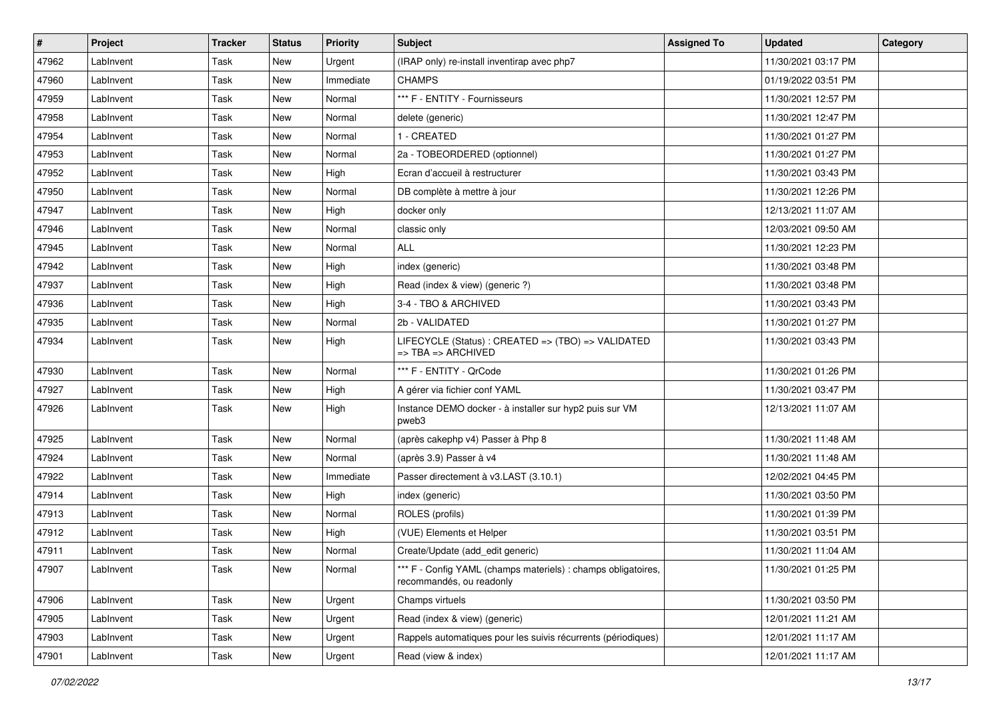| $\vert$ # | Project   | <b>Tracker</b> | <b>Status</b> | <b>Priority</b> | Subject                                                                                        | <b>Assigned To</b> | <b>Updated</b>      | Category |
|-----------|-----------|----------------|---------------|-----------------|------------------------------------------------------------------------------------------------|--------------------|---------------------|----------|
| 47962     | LabInvent | Task           | New           | Urgent          | (IRAP only) re-install inventirap avec php7                                                    |                    | 11/30/2021 03:17 PM |          |
| 47960     | LabInvent | Task           | New           | Immediate       | <b>CHAMPS</b>                                                                                  |                    | 01/19/2022 03:51 PM |          |
| 47959     | LabInvent | Task           | New           | Normal          | *** F - ENTITY - Fournisseurs                                                                  |                    | 11/30/2021 12:57 PM |          |
| 47958     | LabInvent | Task           | New           | Normal          | delete (generic)                                                                               |                    | 11/30/2021 12:47 PM |          |
| 47954     | LabInvent | Task           | New           | Normal          | 1 - CREATED                                                                                    |                    | 11/30/2021 01:27 PM |          |
| 47953     | LabInvent | Task           | New           | Normal          | 2a - TOBEORDERED (optionnel)                                                                   |                    | 11/30/2021 01:27 PM |          |
| 47952     | LabInvent | Task           | New           | High            | Ecran d'accueil à restructurer                                                                 |                    | 11/30/2021 03:43 PM |          |
| 47950     | LabInvent | Task           | New           | Normal          | DB complète à mettre à jour                                                                    |                    | 11/30/2021 12:26 PM |          |
| 47947     | LabInvent | Task           | New           | High            | docker only                                                                                    |                    | 12/13/2021 11:07 AM |          |
| 47946     | LabInvent | Task           | New           | Normal          | classic only                                                                                   |                    | 12/03/2021 09:50 AM |          |
| 47945     | LabInvent | Task           | New           | Normal          | <b>ALL</b>                                                                                     |                    | 11/30/2021 12:23 PM |          |
| 47942     | LabInvent | Task           | New           | High            | index (generic)                                                                                |                    | 11/30/2021 03:48 PM |          |
| 47937     | LabInvent | Task           | New           | High            | Read (index & view) (generic ?)                                                                |                    | 11/30/2021 03:48 PM |          |
| 47936     | LabInvent | Task           | New           | High            | 3-4 - TBO & ARCHIVED                                                                           |                    | 11/30/2021 03:43 PM |          |
| 47935     | LabInvent | Task           | New           | Normal          | 2b - VALIDATED                                                                                 |                    | 11/30/2021 01:27 PM |          |
| 47934     | LabInvent | Task           | New           | High            | LIFECYCLE (Status) : CREATED => (TBO) => VALIDATED<br>$\Rightarrow$ TBA $\Rightarrow$ ARCHIVED |                    | 11/30/2021 03:43 PM |          |
| 47930     | LabInvent | Task           | <b>New</b>    | Normal          | *** F - ENTITY - QrCode                                                                        |                    | 11/30/2021 01:26 PM |          |
| 47927     | LabInvent | Task           | New           | High            | A gérer via fichier conf YAML                                                                  |                    | 11/30/2021 03:47 PM |          |
| 47926     | LabInvent | Task           | New           | High            | Instance DEMO docker - à installer sur hyp2 puis sur VM<br>pweb3                               |                    | 12/13/2021 11:07 AM |          |
| 47925     | LabInvent | Task           | New           | Normal          | (après cakephp v4) Passer à Php 8                                                              |                    | 11/30/2021 11:48 AM |          |
| 47924     | LabInvent | Task           | <b>New</b>    | Normal          | (après 3.9) Passer à v4                                                                        |                    | 11/30/2021 11:48 AM |          |
| 47922     | LabInvent | Task           | New           | Immediate       | Passer directement à v3.LAST (3.10.1)                                                          |                    | 12/02/2021 04:45 PM |          |
| 47914     | LabInvent | Task           | New           | High            | index (generic)                                                                                |                    | 11/30/2021 03:50 PM |          |
| 47913     | LabInvent | Task           | New           | Normal          | ROLES (profils)                                                                                |                    | 11/30/2021 01:39 PM |          |
| 47912     | LabInvent | Task           | New           | High            | (VUE) Elements et Helper                                                                       |                    | 11/30/2021 03:51 PM |          |
| 47911     | LabInvent | Task           | New           | Normal          | Create/Update (add_edit generic)                                                               |                    | 11/30/2021 11:04 AM |          |
| 47907     | LabInvent | Task           | New           | Normal          | *** F - Config YAML (champs materiels) : champs obligatoires,<br>recommandés, ou readonly      |                    | 11/30/2021 01:25 PM |          |
| 47906     | LabInvent | Task           | New           | Urgent          | Champs virtuels                                                                                |                    | 11/30/2021 03:50 PM |          |
| 47905     | LabInvent | Task           | New           | Urgent          | Read (index & view) (generic)                                                                  |                    | 12/01/2021 11:21 AM |          |
| 47903     | LabInvent | Task           | New           | Urgent          | Rappels automatiques pour les suivis récurrents (périodiques)                                  |                    | 12/01/2021 11:17 AM |          |
| 47901     | LabInvent | Task           | New           | Urgent          | Read (view & index)                                                                            |                    | 12/01/2021 11:17 AM |          |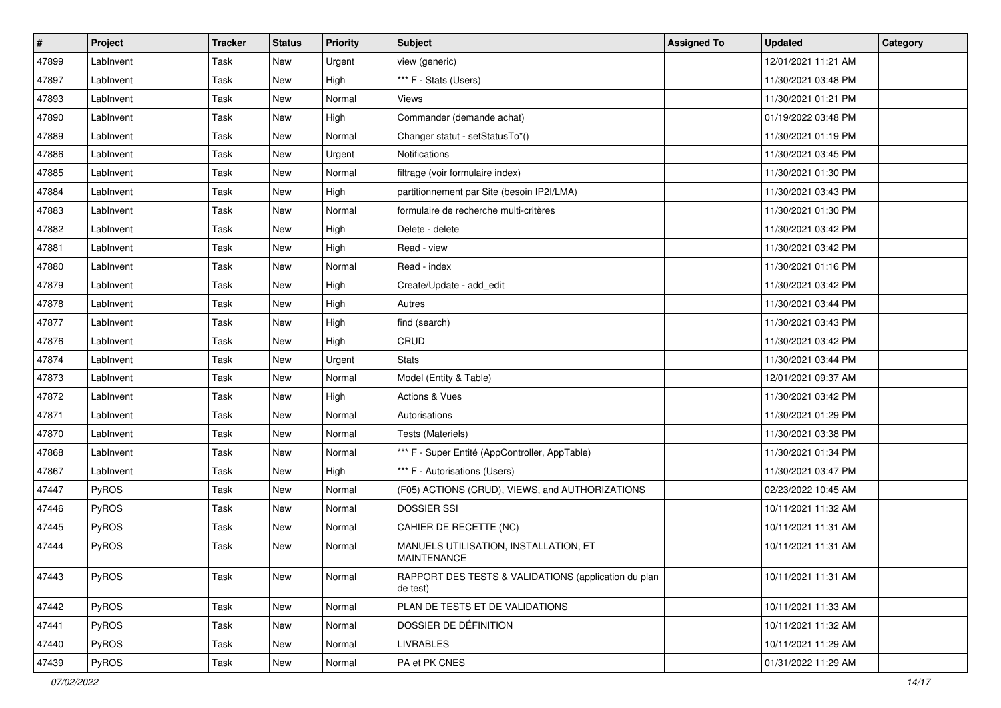| #     | <b>Project</b> | <b>Tracker</b> | <b>Status</b> | <b>Priority</b> | <b>Subject</b>                                                   | <b>Assigned To</b> | <b>Updated</b>      | Category |
|-------|----------------|----------------|---------------|-----------------|------------------------------------------------------------------|--------------------|---------------------|----------|
| 47899 | LabInvent      | Task           | New           | Urgent          | view (generic)                                                   |                    | 12/01/2021 11:21 AM |          |
| 47897 | LabInvent      | Task           | New           | High            | *** F - Stats (Users)                                            |                    | 11/30/2021 03:48 PM |          |
| 47893 | LabInvent      | Task           | New           | Normal          | Views                                                            |                    | 11/30/2021 01:21 PM |          |
| 47890 | LabInvent      | Task           | New           | High            | Commander (demande achat)                                        |                    | 01/19/2022 03:48 PM |          |
| 47889 | LabInvent      | Task           | New           | Normal          | Changer statut - setStatusTo*()                                  |                    | 11/30/2021 01:19 PM |          |
| 47886 | LabInvent      | Task           | New           | Urgent          | <b>Notifications</b>                                             |                    | 11/30/2021 03:45 PM |          |
| 47885 | LabInvent      | Task           | New           | Normal          | filtrage (voir formulaire index)                                 |                    | 11/30/2021 01:30 PM |          |
| 47884 | LabInvent      | Task           | New           | High            | partitionnement par Site (besoin IP2I/LMA)                       |                    | 11/30/2021 03:43 PM |          |
| 47883 | LabInvent      | Task           | New           | Normal          | formulaire de recherche multi-critères                           |                    | 11/30/2021 01:30 PM |          |
| 47882 | LabInvent      | Task           | New           | High            | Delete - delete                                                  |                    | 11/30/2021 03:42 PM |          |
| 47881 | LabInvent      | Task           | New           | High            | Read - view                                                      |                    | 11/30/2021 03:42 PM |          |
| 47880 | LabInvent      | Task           | New           | Normal          | Read - index                                                     |                    | 11/30/2021 01:16 PM |          |
| 47879 | LabInvent      | Task           | New           | High            | Create/Update - add edit                                         |                    | 11/30/2021 03:42 PM |          |
| 47878 | LabInvent      | Task           | New           | High            | Autres                                                           |                    | 11/30/2021 03:44 PM |          |
| 47877 | LabInvent      | Task           | New           | High            | find (search)                                                    |                    | 11/30/2021 03:43 PM |          |
| 47876 | LabInvent      | Task           | New           | High            | CRUD                                                             |                    | 11/30/2021 03:42 PM |          |
| 47874 | LabInvent      | Task           | New           | Urgent          | <b>Stats</b>                                                     |                    | 11/30/2021 03:44 PM |          |
| 47873 | LabInvent      | Task           | New           | Normal          | Model (Entity & Table)                                           |                    | 12/01/2021 09:37 AM |          |
| 47872 | LabInvent      | Task           | New           | High            | Actions & Vues                                                   |                    | 11/30/2021 03:42 PM |          |
| 47871 | LabInvent      | Task           | New           | Normal          | Autorisations                                                    |                    | 11/30/2021 01:29 PM |          |
| 47870 | LabInvent      | Task           | New           | Normal          | Tests (Materiels)                                                |                    | 11/30/2021 03:38 PM |          |
| 47868 | LabInvent      | Task           | New           | Normal          | *** F - Super Entité (AppController, AppTable)                   |                    | 11/30/2021 01:34 PM |          |
| 47867 | LabInvent      | Task           | New           | High            | *** F - Autorisations (Users)                                    |                    | 11/30/2021 03:47 PM |          |
| 47447 | PyROS          | Task           | New           | Normal          | (F05) ACTIONS (CRUD), VIEWS, and AUTHORIZATIONS                  |                    | 02/23/2022 10:45 AM |          |
| 47446 | PyROS          | Task           | New           | Normal          | <b>DOSSIER SSI</b>                                               |                    | 10/11/2021 11:32 AM |          |
| 47445 | PyROS          | Task           | New           | Normal          | CAHIER DE RECETTE (NC)                                           |                    | 10/11/2021 11:31 AM |          |
| 47444 | PyROS          | Task           | New           | Normal          | MANUELS UTILISATION, INSTALLATION, ET<br><b>MAINTENANCE</b>      |                    | 10/11/2021 11:31 AM |          |
| 47443 | PyROS          | Task           | New           | Normal          | RAPPORT DES TESTS & VALIDATIONS (application du plan<br>de test) |                    | 10/11/2021 11:31 AM |          |
| 47442 | PyROS          | Task           | New           | Normal          | PLAN DE TESTS ET DE VALIDATIONS                                  |                    | 10/11/2021 11:33 AM |          |
| 47441 | PyROS          | Task           | New           | Normal          | DOSSIER DE DÉFINITION                                            |                    | 10/11/2021 11:32 AM |          |
| 47440 | PyROS          | Task           | New           | Normal          | <b>LIVRABLES</b>                                                 |                    | 10/11/2021 11:29 AM |          |
| 47439 | PyROS          | Task           | New           | Normal          | PA et PK CNES                                                    |                    | 01/31/2022 11:29 AM |          |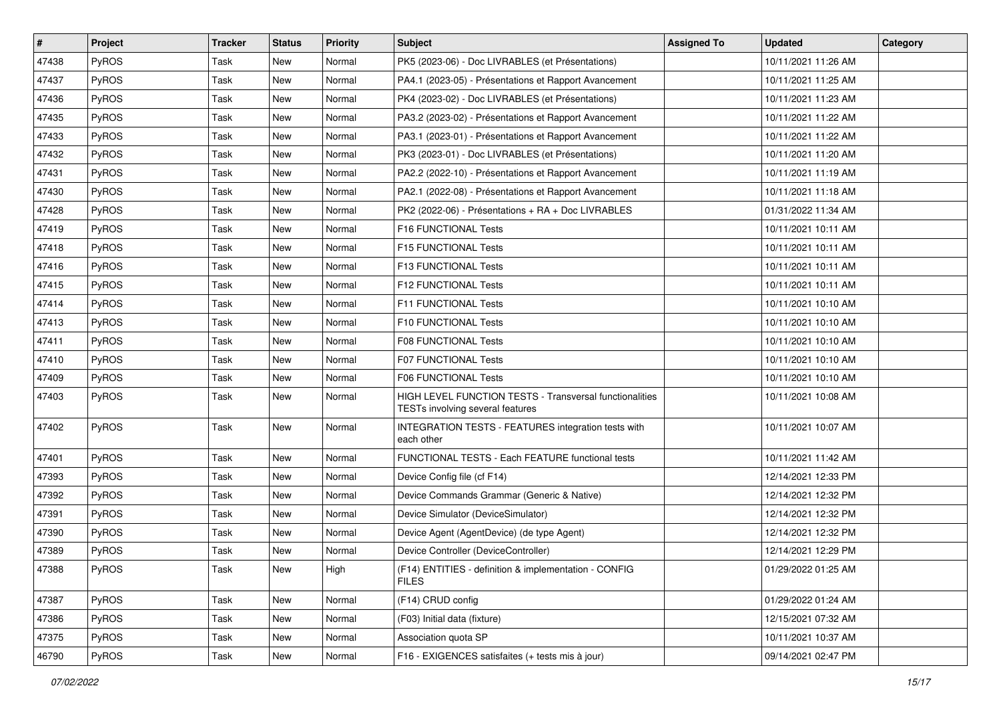| $\vert$ # | Project      | <b>Tracker</b> | <b>Status</b> | <b>Priority</b> | <b>Subject</b>                                                                              | <b>Assigned To</b> | <b>Updated</b>      | Category |
|-----------|--------------|----------------|---------------|-----------------|---------------------------------------------------------------------------------------------|--------------------|---------------------|----------|
| 47438     | PyROS        | <b>Task</b>    | New           | Normal          | PK5 (2023-06) - Doc LIVRABLES (et Présentations)                                            |                    | 10/11/2021 11:26 AM |          |
| 47437     | <b>PyROS</b> | <b>Task</b>    | New           | Normal          | PA4.1 (2023-05) - Présentations et Rapport Avancement                                       |                    | 10/11/2021 11:25 AM |          |
| 47436     | PyROS        | Task           | New           | Normal          | PK4 (2023-02) - Doc LIVRABLES (et Présentations)                                            |                    | 10/11/2021 11:23 AM |          |
| 47435     | PyROS        | Task           | New           | Normal          | PA3.2 (2023-02) - Présentations et Rapport Avancement                                       |                    | 10/11/2021 11:22 AM |          |
| 47433     | PyROS        | Task           | New           | Normal          | PA3.1 (2023-01) - Présentations et Rapport Avancement                                       |                    | 10/11/2021 11:22 AM |          |
| 47432     | PyROS        | Task           | New           | Normal          | PK3 (2023-01) - Doc LIVRABLES (et Présentations)                                            |                    | 10/11/2021 11:20 AM |          |
| 47431     | PyROS        | <b>Task</b>    | New           | Normal          | PA2.2 (2022-10) - Présentations et Rapport Avancement                                       |                    | 10/11/2021 11:19 AM |          |
| 47430     | PyROS        | Task           | New           | Normal          | PA2.1 (2022-08) - Présentations et Rapport Avancement                                       |                    | 10/11/2021 11:18 AM |          |
| 47428     | PyROS        | Task           | New           | Normal          | PK2 (2022-06) - Présentations + RA + Doc LIVRABLES                                          |                    | 01/31/2022 11:34 AM |          |
| 47419     | PyROS        | <b>Task</b>    | New           | Normal          | F16 FUNCTIONAL Tests                                                                        |                    | 10/11/2021 10:11 AM |          |
| 47418     | PyROS        | Task           | New           | Normal          | F15 FUNCTIONAL Tests                                                                        |                    | 10/11/2021 10:11 AM |          |
| 47416     | PyROS        | <b>Task</b>    | New           | Normal          | F13 FUNCTIONAL Tests                                                                        |                    | 10/11/2021 10:11 AM |          |
| 47415     | PyROS        | <b>Task</b>    | New           | Normal          | F12 FUNCTIONAL Tests                                                                        |                    | 10/11/2021 10:11 AM |          |
| 47414     | PyROS        | Task           | New           | Normal          | <b>F11 FUNCTIONAL Tests</b>                                                                 |                    | 10/11/2021 10:10 AM |          |
| 47413     | PyROS        | <b>Task</b>    | <b>New</b>    | Normal          | F10 FUNCTIONAL Tests                                                                        |                    | 10/11/2021 10:10 AM |          |
| 47411     | PyROS        | Task           | New           | Normal          | <b>F08 FUNCTIONAL Tests</b>                                                                 |                    | 10/11/2021 10:10 AM |          |
| 47410     | PyROS        | Task           | New           | Normal          | F07 FUNCTIONAL Tests                                                                        |                    | 10/11/2021 10:10 AM |          |
| 47409     | PyROS        | Task           | New           | Normal          | F06 FUNCTIONAL Tests                                                                        |                    | 10/11/2021 10:10 AM |          |
| 47403     | PyROS        | <b>Task</b>    | New           | Normal          | HIGH LEVEL FUNCTION TESTS - Transversal functionalities<br>TESTs involving several features |                    | 10/11/2021 10:08 AM |          |
| 47402     | PyROS        | <b>Task</b>    | New           | Normal          | INTEGRATION TESTS - FEATURES integration tests with<br>each other                           |                    | 10/11/2021 10:07 AM |          |
| 47401     | PyROS        | Task           | <b>New</b>    | Normal          | FUNCTIONAL TESTS - Each FEATURE functional tests                                            |                    | 10/11/2021 11:42 AM |          |
| 47393     | PyROS        | Task           | New           | Normal          | Device Config file (cf F14)                                                                 |                    | 12/14/2021 12:33 PM |          |
| 47392     | PyROS        | Task           | New           | Normal          | Device Commands Grammar (Generic & Native)                                                  |                    | 12/14/2021 12:32 PM |          |
| 47391     | PyROS        | Task           | New           | Normal          | Device Simulator (DeviceSimulator)                                                          |                    | 12/14/2021 12:32 PM |          |
| 47390     | PyROS        | Task           | New           | Normal          | Device Agent (AgentDevice) (de type Agent)                                                  |                    | 12/14/2021 12:32 PM |          |
| 47389     | PyROS        | Task           | New           | Normal          | Device Controller (DeviceController)                                                        |                    | 12/14/2021 12:29 PM |          |
| 47388     | PyROS        | Task           | New           | High            | (F14) ENTITIES - definition & implementation - CONFIG<br><b>FILES</b>                       |                    | 01/29/2022 01:25 AM |          |
| 47387     | PyROS        | Task           | New           | Normal          | (F14) CRUD config                                                                           |                    | 01/29/2022 01:24 AM |          |
| 47386     | PyROS        | Task           | New           | Normal          | (F03) Initial data (fixture)                                                                |                    | 12/15/2021 07:32 AM |          |
| 47375     | PyROS        | Task           | New           | Normal          | Association quota SP                                                                        |                    | 10/11/2021 10:37 AM |          |
| 46790     | PyROS        | Task           | New           | Normal          | F16 - EXIGENCES satisfaites (+ tests mis à jour)                                            |                    | 09/14/2021 02:47 PM |          |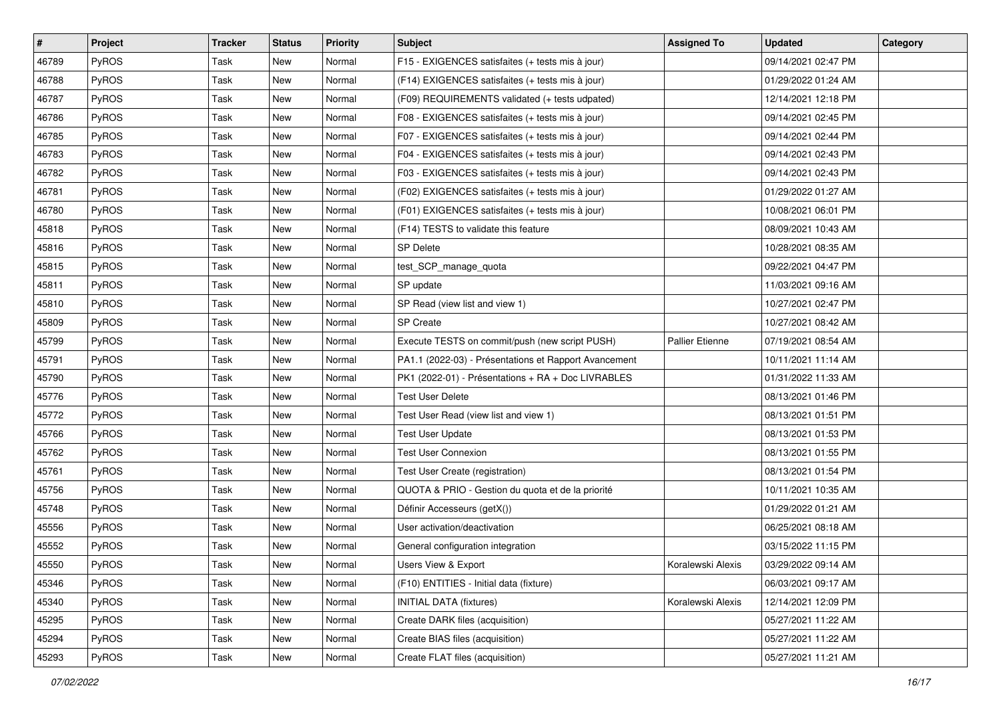| #     | <b>Project</b> | <b>Tracker</b> | <b>Status</b> | <b>Priority</b> | <b>Subject</b>                                        | <b>Assigned To</b>     | <b>Updated</b>      | Category |
|-------|----------------|----------------|---------------|-----------------|-------------------------------------------------------|------------------------|---------------------|----------|
| 46789 | PyROS          | Task           | New           | Normal          | F15 - EXIGENCES satisfaites (+ tests mis à jour)      |                        | 09/14/2021 02:47 PM |          |
| 46788 | PyROS          | Task           | New           | Normal          | (F14) EXIGENCES satisfaites (+ tests mis à jour)      |                        | 01/29/2022 01:24 AM |          |
| 46787 | PyROS          | Task           | New           | Normal          | (F09) REQUIREMENTS validated (+ tests udpated)        |                        | 12/14/2021 12:18 PM |          |
| 46786 | PyROS          | Task           | New           | Normal          | F08 - EXIGENCES satisfaites (+ tests mis à jour)      |                        | 09/14/2021 02:45 PM |          |
| 46785 | PyROS          | Task           | <b>New</b>    | Normal          | F07 - EXIGENCES satisfaites (+ tests mis à jour)      |                        | 09/14/2021 02:44 PM |          |
| 46783 | PyROS          | Task           | New           | Normal          | F04 - EXIGENCES satisfaites (+ tests mis à jour)      |                        | 09/14/2021 02:43 PM |          |
| 46782 | PyROS          | Task           | New           | Normal          | F03 - EXIGENCES satisfaites (+ tests mis à jour)      |                        | 09/14/2021 02:43 PM |          |
| 46781 | PyROS          | Task           | New           | Normal          | (F02) EXIGENCES satisfaites (+ tests mis à jour)      |                        | 01/29/2022 01:27 AM |          |
| 46780 | PyROS          | Task           | New           | Normal          | (F01) EXIGENCES satisfaites (+ tests mis à jour)      |                        | 10/08/2021 06:01 PM |          |
| 45818 | PyROS          | Task           | <b>New</b>    | Normal          | (F14) TESTS to validate this feature                  |                        | 08/09/2021 10:43 AM |          |
| 45816 | <b>PyROS</b>   | Task           | New           | Normal          | <b>SP Delete</b>                                      |                        | 10/28/2021 08:35 AM |          |
| 45815 | PyROS          | Task           | New           | Normal          | test SCP manage quota                                 |                        | 09/22/2021 04:47 PM |          |
| 45811 | PyROS          | Task           | New           | Normal          | SP update                                             |                        | 11/03/2021 09:16 AM |          |
| 45810 | PyROS          | Task           | New           | Normal          | SP Read (view list and view 1)                        |                        | 10/27/2021 02:47 PM |          |
| 45809 | PyROS          | Task           | New           | Normal          | <b>SP Create</b>                                      |                        | 10/27/2021 08:42 AM |          |
| 45799 | PyROS          | Task           | New           | Normal          | Execute TESTS on commit/push (new script PUSH)        | <b>Pallier Etienne</b> | 07/19/2021 08:54 AM |          |
| 45791 | PyROS          | Task           | New           | Normal          | PA1.1 (2022-03) - Présentations et Rapport Avancement |                        | 10/11/2021 11:14 AM |          |
| 45790 | PyROS          | Task           | New           | Normal          | PK1 (2022-01) - Présentations + RA + Doc LIVRABLES    |                        | 01/31/2022 11:33 AM |          |
| 45776 | PyROS          | Task           | New           | Normal          | <b>Test User Delete</b>                               |                        | 08/13/2021 01:46 PM |          |
| 45772 | PyROS          | Task           | <b>New</b>    | Normal          | Test User Read (view list and view 1)                 |                        | 08/13/2021 01:51 PM |          |
| 45766 | PyROS          | Task           | New           | Normal          | <b>Test User Update</b>                               |                        | 08/13/2021 01:53 PM |          |
| 45762 | PyROS          | Task           | New           | Normal          | <b>Test User Connexion</b>                            |                        | 08/13/2021 01:55 PM |          |
| 45761 | PyROS          | Task           | New           | Normal          | Test User Create (registration)                       |                        | 08/13/2021 01:54 PM |          |
| 45756 | PyROS          | Task           | New           | Normal          | QUOTA & PRIO - Gestion du quota et de la priorité     |                        | 10/11/2021 10:35 AM |          |
| 45748 | PyROS          | Task           | New           | Normal          | Définir Accesseurs (getX())                           |                        | 01/29/2022 01:21 AM |          |
| 45556 | PyROS          | Task           | New           | Normal          | User activation/deactivation                          |                        | 06/25/2021 08:18 AM |          |
| 45552 | PyROS          | Task           | New           | Normal          | General configuration integration                     |                        | 03/15/2022 11:15 PM |          |
| 45550 | PyROS          | Task           | New           | Normal          | Users View & Export                                   | Koralewski Alexis      | 03/29/2022 09:14 AM |          |
| 45346 | <b>PyROS</b>   | Task           | New           | Normal          | (F10) ENTITIES - Initial data (fixture)               |                        | 06/03/2021 09:17 AM |          |
| 45340 | PyROS          | Task           | New           | Normal          | <b>INITIAL DATA (fixtures)</b>                        | Koralewski Alexis      | 12/14/2021 12:09 PM |          |
| 45295 | PyROS          | Task           | New           | Normal          | Create DARK files (acquisition)                       |                        | 05/27/2021 11:22 AM |          |
| 45294 | PyROS          | Task           | New           | Normal          | Create BIAS files (acquisition)                       |                        | 05/27/2021 11:22 AM |          |
| 45293 | PyROS          | Task           | New           | Normal          | Create FLAT files (acquisition)                       |                        | 05/27/2021 11:21 AM |          |